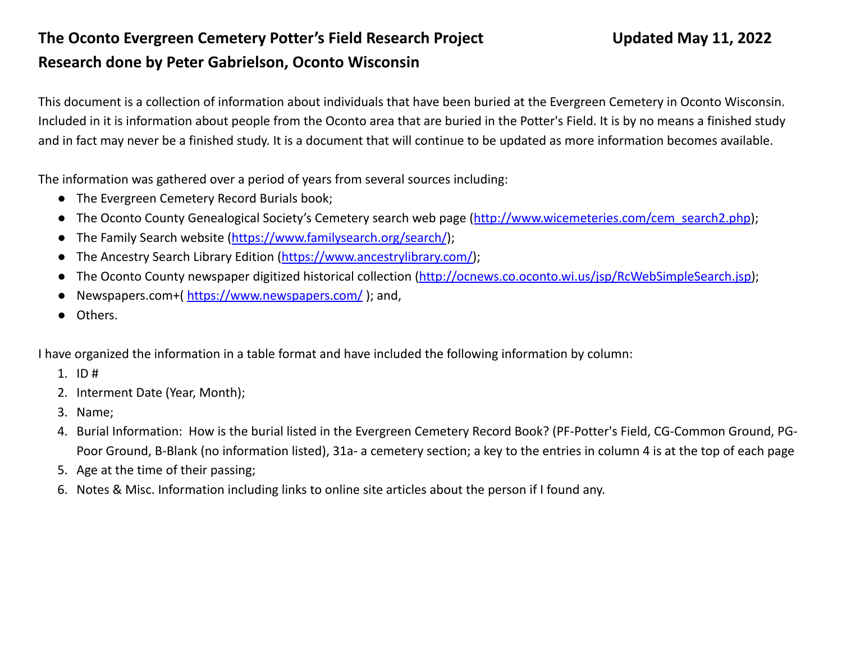## **The Oconto Evergreen Cemetery Potter's Field Research Project Updated May 11, 2022 Research done by Peter Gabrielson, Oconto Wisconsin**

This document is a collection of information about individuals that have been buried at the Evergreen Cemetery in Oconto Wisconsin. Included in it is information about people from the Oconto area that are buried in the Potter's Field. It is by no means a finished study and in fact may never be a finished study. It is a document that will continue to be updated as more information becomes available.

The information was gathered over a period of years from several sources including:

- The Evergreen Cemetery Record Burials book;
- The Oconto County Genealogical Society's Cemetery search web page ([http://www.wicemeteries.com/cem\\_search2.php](http://www.wicemeteries.com/cem_search2.php));
- The Family Search website (<https://www.familysearch.org/search/>);
- The Ancestry Search Library Edition ([https://www.ancestrylibrary.com/\)](https://www.ancestrylibrary.com/);
- The Oconto County newspaper digitized historical collection [\(http://ocnews.co.oconto.wi.us/jsp/RcWebSimpleSearch.jsp\)](http://ocnews.co.oconto.wi.us/jsp/RcWebSimpleSearch.jsp);
- Newspapers.com+( <https://www.newspapers.com/> ); and,
- Others.

I have organized the information in a table format and have included the following information by column:

- 1. ID #
- 2. Interment Date (Year, Month);
- 3. Name;
- 4. Burial Information: How is the burial listed in the Evergreen Cemetery Record Book? (PF-Potter's Field, CG-Common Ground, PG-Poor Ground, B-Blank (no information listed), 31a- a cemetery section; a key to the entries in column 4 is at the top of each page
- 5. Age at the time of their passing;
- 6. Notes & Misc. Information including links to online site articles about the person if I found any.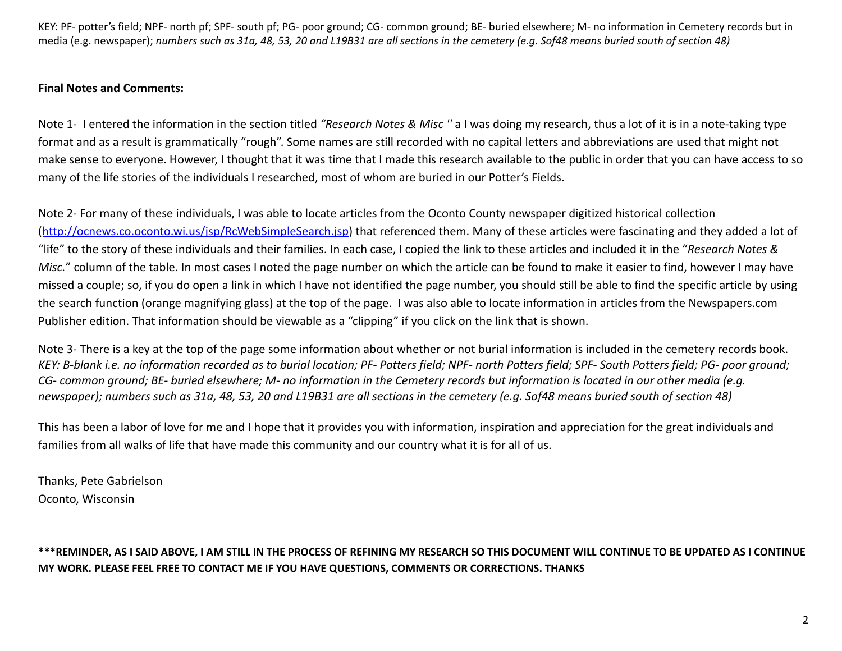## **Final Notes and Comments:**

Note 1- I entered the information in the section titled *"Research Notes & Misc ''* a I was doing my research, thus a lot of it is in a note-taking type format and as a result is grammatically "rough". Some names are still recorded with no capital letters and abbreviations are used that might not make sense to everyone. However, I thought that it was time that I made this research available to the public in order that you can have access to so many of the life stories of the individuals I researched, most of whom are buried in our Potter's Fields.

Note 2- For many of these individuals, I was able to locate articles from the Oconto County newspaper digitized historical collection (<http://ocnews.co.oconto.wi.us/jsp/RcWebSimpleSearch.jsp>) that referenced them. Many of these articles were fascinating and they added a lot of "life" to the story of these individuals and their families. In each case, I copied the link to these articles and included it in the "*Research Notes & Misc.*" column of the table. In most cases I noted the page number on which the article can be found to make it easier to find, however I may have missed a couple; so, if you do open a link in which I have not identified the page number, you should still be able to find the specific article by using the search function (orange magnifying glass) at the top of the page. I was also able to locate information in articles from the Newspapers.com Publisher edition. That information should be viewable as a "clipping" if you click on the link that is shown.

Note 3- There is a key at the top of the page some information about whether or not burial information is included in the cemetery records book. *KEY: B-blank i.e. no information recorded as to burial location; PF- Potters field; NPF- north Potters field; SPF- South Potters field; PG- poor ground; CG- common ground; BE- buried elsewhere; M- no information in the Cemetery records but information is located in our other media (e.g. newspaper); numbers such as 31a, 48, 53, 20 and L19B31 are all sections in the cemetery (e.g. Sof48 means buried south of section 48)*

This has been a labor of love for me and I hope that it provides you with information, inspiration and appreciation for the great individuals and families from all walks of life that have made this community and our country what it is for all of us.

Thanks, Pete Gabrielson Oconto, Wisconsin

\*\*\*REMINDER, AS I SAID ABOVE, I AM STILL IN THE PROCESS OF REFINING MY RESEARCH SO THIS DOCUMENT WILL CONTINUE TO BE UPDATED AS I CONTINUE **MY WORK. PLEASE FEEL FREE TO CONTACT ME IF YOU HAVE QUESTIONS, COMMENTS OR CORRECTIONS. THANKS**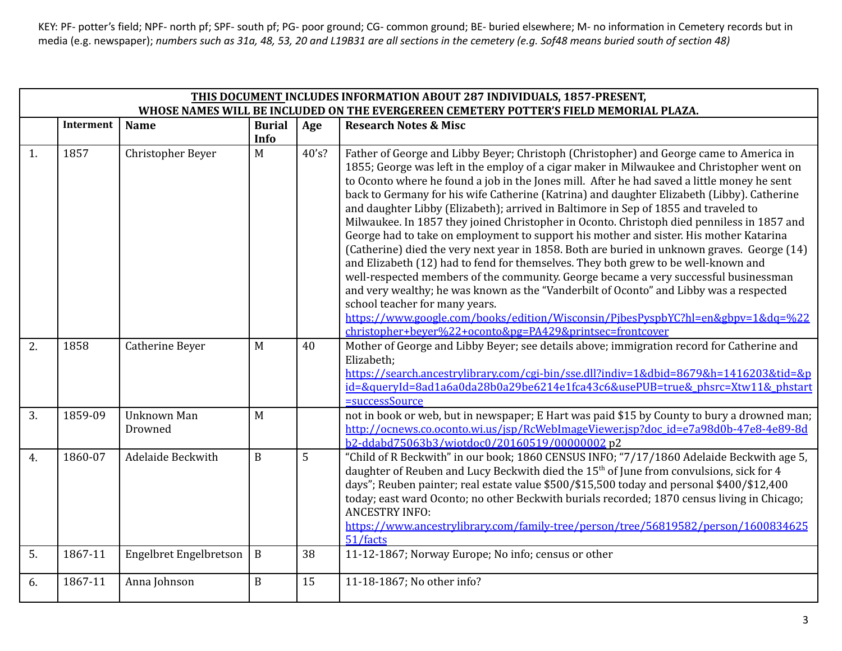|    | THIS DOCUMENT INCLUDES INFORMATION ABOUT 287 INDIVIDUALS, 1857-PRESENT, |                               |               |       |                                                                                                                                                                                                                                                                                                                                                                                                                                                                                                                                                                                                                                                                                                                                                                                                                                                                                                                                                                                                                                                                                                                                                                                                                          |  |  |  |  |
|----|-------------------------------------------------------------------------|-------------------------------|---------------|-------|--------------------------------------------------------------------------------------------------------------------------------------------------------------------------------------------------------------------------------------------------------------------------------------------------------------------------------------------------------------------------------------------------------------------------------------------------------------------------------------------------------------------------------------------------------------------------------------------------------------------------------------------------------------------------------------------------------------------------------------------------------------------------------------------------------------------------------------------------------------------------------------------------------------------------------------------------------------------------------------------------------------------------------------------------------------------------------------------------------------------------------------------------------------------------------------------------------------------------|--|--|--|--|
|    |                                                                         |                               |               |       | WHOSE NAMES WILL BE INCLUDED ON THE EVERGEREEN CEMETERY POTTER'S FIELD MEMORIAL PLAZA.                                                                                                                                                                                                                                                                                                                                                                                                                                                                                                                                                                                                                                                                                                                                                                                                                                                                                                                                                                                                                                                                                                                                   |  |  |  |  |
|    | <b>Interment</b>                                                        | <b>Name</b>                   | <b>Burial</b> | Age   | <b>Research Notes &amp; Misc</b>                                                                                                                                                                                                                                                                                                                                                                                                                                                                                                                                                                                                                                                                                                                                                                                                                                                                                                                                                                                                                                                                                                                                                                                         |  |  |  |  |
|    |                                                                         |                               | Info          |       |                                                                                                                                                                                                                                                                                                                                                                                                                                                                                                                                                                                                                                                                                                                                                                                                                                                                                                                                                                                                                                                                                                                                                                                                                          |  |  |  |  |
| 1. | 1857                                                                    | Christopher Beyer             | M             | 40's? | Father of George and Libby Beyer; Christoph (Christopher) and George came to America in<br>1855; George was left in the employ of a cigar maker in Milwaukee and Christopher went on<br>to Oconto where he found a job in the Jones mill. After he had saved a little money he sent<br>back to Germany for his wife Catherine (Katrina) and daughter Elizabeth (Libby). Catherine<br>and daughter Libby (Elizabeth); arrived in Baltimore in Sep of 1855 and traveled to<br>Milwaukee. In 1857 they joined Christopher in Oconto. Christoph died penniless in 1857 and<br>George had to take on employment to support his mother and sister. His mother Katarina<br>(Catherine) died the very next year in 1858. Both are buried in unknown graves. George (14)<br>and Elizabeth (12) had to fend for themselves. They both grew to be well-known and<br>well-respected members of the community. George became a very successful businessman<br>and very wealthy; he was known as the "Vanderbilt of Oconto" and Libby was a respected<br>school teacher for many years.<br>https://www.google.com/books/edition/Wisconsin/PibesPyspbYC?hl=en&gbpv=1&dq=%22<br>christopher+beyer%22+oconto&pg=PA429&printsec=frontcover |  |  |  |  |
| 2. | 1858                                                                    | Catherine Beyer               | M             | 40    | Mother of George and Libby Beyer; see details above; immigration record for Catherine and<br>Elizabeth;<br>https://search.ancestrylibrary.com/cgi-bin/sse.dll?indiv=1&dbid=8679&h=1416203&tid=&p<br>id=&queryId=8ad1a6a0da28b0a29be6214e1fca43c6&usePUB=true&_phsrc=Xtw11&_phstart<br>=successSource                                                                                                                                                                                                                                                                                                                                                                                                                                                                                                                                                                                                                                                                                                                                                                                                                                                                                                                     |  |  |  |  |
| 3. | 1859-09                                                                 | Unknown Man<br>Drowned        | M             |       | not in book or web, but in newspaper; E Hart was paid \$15 by County to bury a drowned man;<br>http://ocnews.co.oconto.wi.us/jsp/RcWebImageViewer.jsp?doc_id=e7a98d0b-47e8-4e89-8d<br>b2-ddabd75063b3/wiotdoc0/20160519/00000002 p2                                                                                                                                                                                                                                                                                                                                                                                                                                                                                                                                                                                                                                                                                                                                                                                                                                                                                                                                                                                      |  |  |  |  |
| 4. | 1860-07                                                                 | Adelaide Beckwith             | $\mathbf{B}$  | 5     | "Child of R Beckwith" in our book; 1860 CENSUS INFO; "7/17/1860 Adelaide Beckwith age 5,<br>daughter of Reuben and Lucy Beckwith died the 15 <sup>th</sup> of June from convulsions, sick for 4<br>days"; Reuben painter; real estate value \$500/\$15,500 today and personal \$400/\$12,400<br>today; east ward Oconto; no other Beckwith burials recorded; 1870 census living in Chicago;<br><b>ANCESTRY INFO:</b><br>https://www.ancestrylibrary.com/family-tree/person/tree/56819582/person/1600834625<br>51/facts                                                                                                                                                                                                                                                                                                                                                                                                                                                                                                                                                                                                                                                                                                   |  |  |  |  |
| 5. | 1867-11                                                                 | <b>Engelbret Engelbretson</b> | $\, {\bf B}$  | 38    | 11-12-1867; Norway Europe; No info; census or other                                                                                                                                                                                                                                                                                                                                                                                                                                                                                                                                                                                                                                                                                                                                                                                                                                                                                                                                                                                                                                                                                                                                                                      |  |  |  |  |
| 6. | 1867-11                                                                 | Anna Johnson                  | $\mathbf B$   | 15    | 11-18-1867; No other info?                                                                                                                                                                                                                                                                                                                                                                                                                                                                                                                                                                                                                                                                                                                                                                                                                                                                                                                                                                                                                                                                                                                                                                                               |  |  |  |  |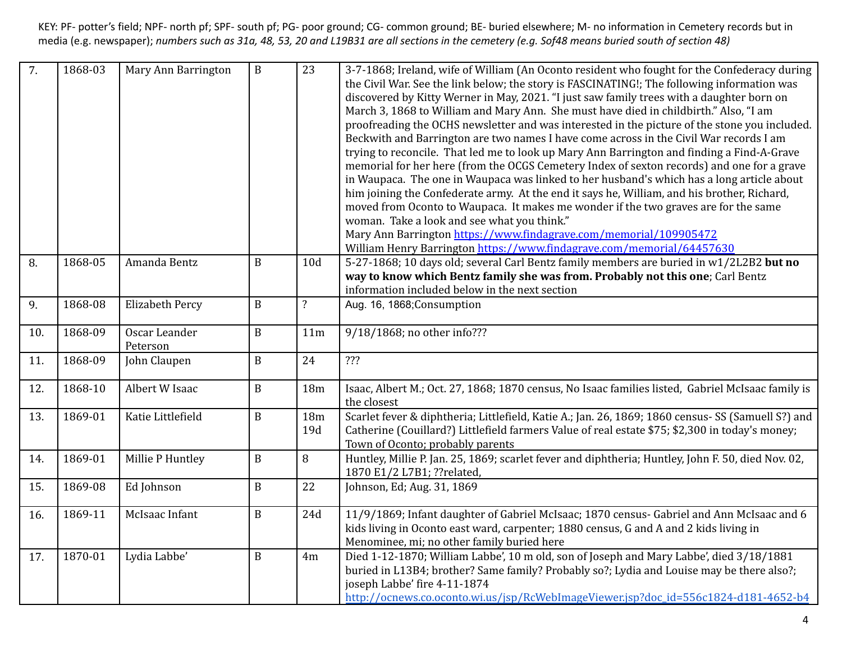| $\overline{7}$ . | 1868-03 | Mary Ann Barrington       | $\, {\bf B}$ | 23                      | 3-7-1868; Ireland, wife of William (An Oconto resident who fought for the Confederacy during<br>the Civil War. See the link below; the story is FASCINATING!; The following information was<br>discovered by Kitty Werner in May, 2021. "I just saw family trees with a daughter born on<br>March 3, 1868 to William and Mary Ann. She must have died in childbirth." Also, "I am<br>proofreading the OCHS newsletter and was interested in the picture of the stone you included.<br>Beckwith and Barrington are two names I have come across in the Civil War records I am<br>trying to reconcile. That led me to look up Mary Ann Barrington and finding a Find-A-Grave<br>memorial for her here (from the OCGS Cemetery Index of sexton records) and one for a grave<br>in Waupaca. The one in Waupaca was linked to her husband's which has a long article about<br>him joining the Confederate army. At the end it says he, William, and his brother, Richard,<br>moved from Oconto to Waupaca. It makes me wonder if the two graves are for the same<br>woman. Take a look and see what you think."<br>Mary Ann Barrington https://www.findagrave.com/memorial/109905472<br>William Henry Barrington https://www.findagrave.com/memorial/64457630 |
|------------------|---------|---------------------------|--------------|-------------------------|----------------------------------------------------------------------------------------------------------------------------------------------------------------------------------------------------------------------------------------------------------------------------------------------------------------------------------------------------------------------------------------------------------------------------------------------------------------------------------------------------------------------------------------------------------------------------------------------------------------------------------------------------------------------------------------------------------------------------------------------------------------------------------------------------------------------------------------------------------------------------------------------------------------------------------------------------------------------------------------------------------------------------------------------------------------------------------------------------------------------------------------------------------------------------------------------------------------------------------------------------------|
| 8.               | 1868-05 | Amanda Bentz              | $\mathbf B$  | 10 <sub>d</sub>         | 5-27-1868; 10 days old; several Carl Bentz family members are buried in w1/2L2B2 but no<br>way to know which Bentz family she was from. Probably not this one; Carl Bentz<br>information included below in the next section                                                                                                                                                                                                                                                                                                                                                                                                                                                                                                                                                                                                                                                                                                                                                                                                                                                                                                                                                                                                                              |
| 9.               | 1868-08 | <b>Elizabeth Percy</b>    | $\mathbf B$  | $\overline{\mathbf{?}}$ | Aug. 16, 1868; Consumption                                                                                                                                                                                                                                                                                                                                                                                                                                                                                                                                                                                                                                                                                                                                                                                                                                                                                                                                                                                                                                                                                                                                                                                                                               |
| 10.              | 1868-09 | Oscar Leander<br>Peterson | $\mathbf B$  | 11 <sub>m</sub>         | 9/18/1868; no other info???                                                                                                                                                                                                                                                                                                                                                                                                                                                                                                                                                                                                                                                                                                                                                                                                                                                                                                                                                                                                                                                                                                                                                                                                                              |
| 11.              | 1868-09 | John Claupen              | $\, {\bf B}$ | 24                      | ???                                                                                                                                                                                                                                                                                                                                                                                                                                                                                                                                                                                                                                                                                                                                                                                                                                                                                                                                                                                                                                                                                                                                                                                                                                                      |
| 12.              | 1868-10 | Albert W Isaac            | $\, {\bf B}$ | 18 <sub>m</sub>         | Isaac, Albert M.; Oct. 27, 1868; 1870 census, No Isaac families listed, Gabriel McIsaac family is<br>the closest                                                                                                                                                                                                                                                                                                                                                                                                                                                                                                                                                                                                                                                                                                                                                                                                                                                                                                                                                                                                                                                                                                                                         |
| 13.              | 1869-01 | Katie Littlefield         | $\, {\bf B}$ | 18 <sub>m</sub><br>19d  | Scarlet fever & diphtheria; Littlefield, Katie A.; Jan. 26, 1869; 1860 census- SS (Samuell S?) and<br>Catherine (Couillard?) Littlefield farmers Value of real estate \$75; \$2,300 in today's money;<br>Town of Oconto; probably parents                                                                                                                                                                                                                                                                                                                                                                                                                                                                                                                                                                                                                                                                                                                                                                                                                                                                                                                                                                                                                |
| 14.              | 1869-01 | Millie P Huntley          | $\, {\bf B}$ | 8                       | Huntley, Millie P. Jan. 25, 1869; scarlet fever and diphtheria; Huntley, John F. 50, died Nov. 02,<br>1870 E1/2 L7B1; ??related,                                                                                                                                                                                                                                                                                                                                                                                                                                                                                                                                                                                                                                                                                                                                                                                                                                                                                                                                                                                                                                                                                                                         |
| 15.              | 1869-08 | Ed Johnson                | $\, {\bf B}$ | 22                      | Johnson, Ed; Aug. 31, 1869                                                                                                                                                                                                                                                                                                                                                                                                                                                                                                                                                                                                                                                                                                                                                                                                                                                                                                                                                                                                                                                                                                                                                                                                                               |
| 16.              | 1869-11 | McIsaac Infant            | $\mathbf B$  | 24d                     | 11/9/1869; Infant daughter of Gabriel McIsaac; 1870 census- Gabriel and Ann McIsaac and 6<br>kids living in Oconto east ward, carpenter; 1880 census, G and A and 2 kids living in<br>Menominee, mi; no other family buried here                                                                                                                                                                                                                                                                                                                                                                                                                                                                                                                                                                                                                                                                                                                                                                                                                                                                                                                                                                                                                         |
| 17.              | 1870-01 | Lydia Labbe'              | $\, {\bf B}$ | 4m                      | Died 1-12-1870; William Labbe', 10 m old, son of Joseph and Mary Labbe', died 3/18/1881<br>buried in L13B4; brother? Same family? Probably so?; Lydia and Louise may be there also?;<br>joseph Labbe' fire 4-11-1874<br>http://ocnews.co.oconto.wi.us/jsp/RcWebImageViewer.jsp?doc_id=556c1824-d181-4652-b4                                                                                                                                                                                                                                                                                                                                                                                                                                                                                                                                                                                                                                                                                                                                                                                                                                                                                                                                              |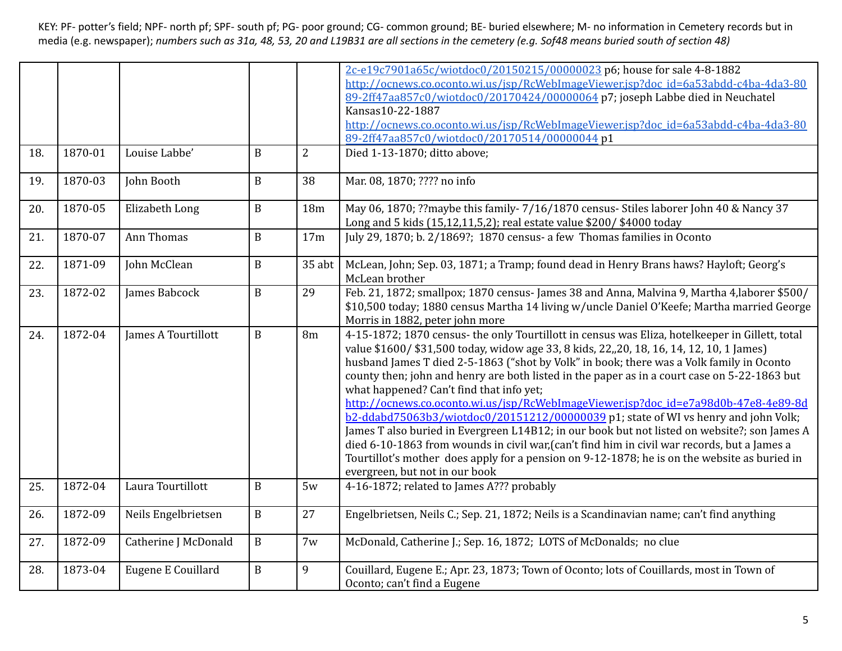|     |         |                      |              |                 | 2c-e19c7901a65c/wiotdoc0/20150215/00000023 p6; house for sale 4-8-1882                                                                                                                                                                                                                                                                                                                                                                                                                                                                                                                                                                                                                                                                                                                                                                                                                                                                              |
|-----|---------|----------------------|--------------|-----------------|-----------------------------------------------------------------------------------------------------------------------------------------------------------------------------------------------------------------------------------------------------------------------------------------------------------------------------------------------------------------------------------------------------------------------------------------------------------------------------------------------------------------------------------------------------------------------------------------------------------------------------------------------------------------------------------------------------------------------------------------------------------------------------------------------------------------------------------------------------------------------------------------------------------------------------------------------------|
|     |         |                      |              |                 | http://ocnews.co.oconto.wi.us/jsp/RcWebImageViewer.jsp?doc_id=6a53abdd-c4ba-4da3-80                                                                                                                                                                                                                                                                                                                                                                                                                                                                                                                                                                                                                                                                                                                                                                                                                                                                 |
|     |         |                      |              |                 | 89-2ff47aa857c0/wiotdoc0/20170424/00000064 p7; joseph Labbe died in Neuchatel                                                                                                                                                                                                                                                                                                                                                                                                                                                                                                                                                                                                                                                                                                                                                                                                                                                                       |
|     |         |                      |              |                 | Kansas10-22-1887                                                                                                                                                                                                                                                                                                                                                                                                                                                                                                                                                                                                                                                                                                                                                                                                                                                                                                                                    |
|     |         |                      |              |                 | http://ocnews.co.oconto.wi.us/jsp/RcWebImageViewer.jsp?doc_id=6a53abdd-c4ba-4da3-80                                                                                                                                                                                                                                                                                                                                                                                                                                                                                                                                                                                                                                                                                                                                                                                                                                                                 |
|     |         |                      |              |                 | 89-2ff47aa857c0/wiotdoc0/20170514/00000044 p1                                                                                                                                                                                                                                                                                                                                                                                                                                                                                                                                                                                                                                                                                                                                                                                                                                                                                                       |
| 18. | 1870-01 | Louise Labbe'        | $\mathbf B$  | $\overline{2}$  | Died 1-13-1870; ditto above;                                                                                                                                                                                                                                                                                                                                                                                                                                                                                                                                                                                                                                                                                                                                                                                                                                                                                                                        |
| 19. | 1870-03 | John Booth           | $\mathbf B$  | 38              | Mar. 08, 1870; ???? no info                                                                                                                                                                                                                                                                                                                                                                                                                                                                                                                                                                                                                                                                                                                                                                                                                                                                                                                         |
| 20. | 1870-05 | Elizabeth Long       | $\, {\bf B}$ | 18 <sub>m</sub> | May 06, 1870; ?? maybe this family-7/16/1870 census-Stiles laborer John 40 & Nancy 37<br>Long and 5 kids (15,12,11,5,2); real estate value \$200/ \$4000 today                                                                                                                                                                                                                                                                                                                                                                                                                                                                                                                                                                                                                                                                                                                                                                                      |
| 21. | 1870-07 | Ann Thomas           | $\mathbf B$  | 17m             | July 29, 1870; b. 2/1869?; 1870 census- a few Thomas families in Oconto                                                                                                                                                                                                                                                                                                                                                                                                                                                                                                                                                                                                                                                                                                                                                                                                                                                                             |
| 22. | 1871-09 | John McClean         | $\, {\bf B}$ | $35$ abt        | McLean, John; Sep. 03, 1871; a Tramp; found dead in Henry Brans haws? Hayloft; Georg's<br>McLean brother                                                                                                                                                                                                                                                                                                                                                                                                                                                                                                                                                                                                                                                                                                                                                                                                                                            |
| 23. | 1872-02 | James Babcock        | $\, {\bf B}$ | 29              | Feb. 21, 1872; smallpox; 1870 census- James 38 and Anna, Malvina 9, Martha 4, laborer \$500/<br>\$10,500 today; 1880 census Martha 14 living w/uncle Daniel O'Keefe; Martha married George<br>Morris in 1882, peter john more                                                                                                                                                                                                                                                                                                                                                                                                                                                                                                                                                                                                                                                                                                                       |
| 24. | 1872-04 | James A Tourtillott  | $\mathbf B$  | 8m              | 4-15-1872; 1870 census- the only Tourtillott in census was Eliza, hotelkeeper in Gillett, total<br>value \$1600/ \$31,500 today, widow age 33, 8 kids, 22,, 20, 18, 16, 14, 12, 10, 1 James)<br>husband James T died 2-5-1863 ("shot by Volk" in book; there was a Volk family in Oconto<br>county then; john and henry are both listed in the paper as in a court case on 5-22-1863 but<br>what happened? Can't find that info yet;<br>http://ocnews.co.oconto.wi.us/jsp/RcWebImageViewer.jsp?doc_id=e7a98d0b-47e8-4e89-8d<br>b2-ddabd75063b3/wiotdoc0/20151212/00000039 p1; state of WI vs henry and john Volk;<br>James T also buried in Evergreen L14B12; in our book but not listed on website?; son James A<br>died 6-10-1863 from wounds in civil war, (can't find him in civil war records, but a James a<br>Tourtillot's mother does apply for a pension on 9-12-1878; he is on the website as buried in<br>evergreen, but not in our book |
| 25. | 1872-04 | Laura Tourtillott    | $\mathbf B$  | 5w              | 4-16-1872; related to James A??? probably                                                                                                                                                                                                                                                                                                                                                                                                                                                                                                                                                                                                                                                                                                                                                                                                                                                                                                           |
| 26. | 1872-09 | Neils Engelbrietsen  | $\mathbf B$  | 27              | Engelbrietsen, Neils C.; Sep. 21, 1872; Neils is a Scandinavian name; can't find anything                                                                                                                                                                                                                                                                                                                                                                                                                                                                                                                                                                                                                                                                                                                                                                                                                                                           |
| 27. | 1872-09 | Catherine J McDonald | $\mathbf B$  | 7w              | McDonald, Catherine J.; Sep. 16, 1872; LOTS of McDonalds; no clue                                                                                                                                                                                                                                                                                                                                                                                                                                                                                                                                                                                                                                                                                                                                                                                                                                                                                   |
| 28. | 1873-04 | Eugene E Couillard   | $\, {\bf B}$ | 9               | Couillard, Eugene E.; Apr. 23, 1873; Town of Oconto; lots of Couillards, most in Town of<br>Oconto; can't find a Eugene                                                                                                                                                                                                                                                                                                                                                                                                                                                                                                                                                                                                                                                                                                                                                                                                                             |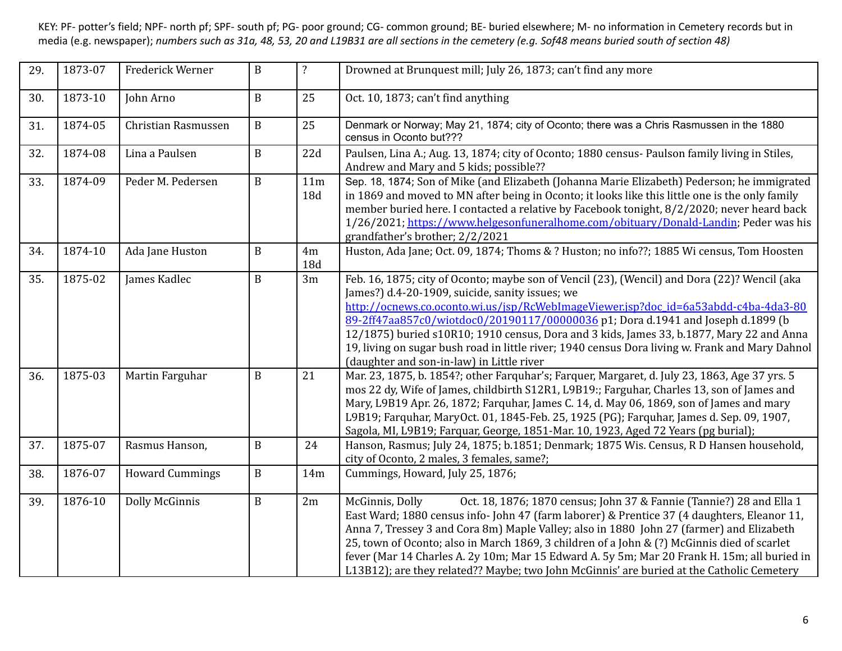| 29. | 1873-07 | Frederick Werner       | $\, {\bf B}$ | $\overline{\mathbf{?}}$ | Drowned at Brunquest mill; July 26, 1873; can't find any more                                                                                                                                                                                                                                                                                                                                                                                                                                                                                                                 |
|-----|---------|------------------------|--------------|-------------------------|-------------------------------------------------------------------------------------------------------------------------------------------------------------------------------------------------------------------------------------------------------------------------------------------------------------------------------------------------------------------------------------------------------------------------------------------------------------------------------------------------------------------------------------------------------------------------------|
| 30. | 1873-10 | John Arno              | $\mathbf{B}$ | 25                      | Oct. 10, 1873; can't find anything                                                                                                                                                                                                                                                                                                                                                                                                                                                                                                                                            |
| 31. | 1874-05 | Christian Rasmussen    | $\mathbf B$  | 25                      | Denmark or Norway; May 21, 1874; city of Oconto; there was a Chris Rasmussen in the 1880<br>census in Oconto but???                                                                                                                                                                                                                                                                                                                                                                                                                                                           |
| 32. | 1874-08 | Lina a Paulsen         | $\mathbf B$  | 22d                     | Paulsen, Lina A.; Aug. 13, 1874; city of Oconto; 1880 census- Paulson family living in Stiles,<br>Andrew and Mary and 5 kids; possible??                                                                                                                                                                                                                                                                                                                                                                                                                                      |
| 33. | 1874-09 | Peder M. Pedersen      | $\mathbf B$  | 11m<br>18d              | Sep. 18, 1874; Son of Mike (and Elizabeth (Johanna Marie Elizabeth) Pederson; he immigrated<br>in 1869 and moved to MN after being in Oconto; it looks like this little one is the only family<br>member buried here. I contacted a relative by Facebook tonight, 8/2/2020; never heard back<br>1/26/2021; https://www.helgesonfuneralhome.com/obituary/Donald-Landin; Peder was his<br>grandfather's brother; 2/2/2021                                                                                                                                                       |
| 34. | 1874-10 | Ada Jane Huston        | B            | 4m<br>18d               | Huston, Ada Jane; Oct. 09, 1874; Thoms & ? Huston; no info??; 1885 Wi census, Tom Hoosten                                                                                                                                                                                                                                                                                                                                                                                                                                                                                     |
| 35. | 1875-02 | James Kadlec           | $\mathbf B$  | 3m                      | Feb. 16, 1875; city of Oconto; maybe son of Vencil (23), (Wencil) and Dora (22)? Wencil (aka<br>James?) d.4-20-1909, suicide, sanity issues; we<br>http://ocnews.co.oconto.wi.us/jsp/RcWebImageViewer.jsp?doc_id=6a53abdd-c4ba-4da3-80<br>89-2ff47aa857c0/wiotdoc0/20190117/00000036 p1; Dora d.1941 and Joseph d.1899 (b<br>12/1875) buried s10R10; 1910 census, Dora and 3 kids, James 33, b.1877, Mary 22 and Anna<br>19, living on sugar bush road in little river; 1940 census Dora living w. Frank and Mary Dahnol<br>(daughter and son-in-law) in Little river         |
| 36. | 1875-03 | Martin Farguhar        | $\mathbf B$  | 21                      | Mar. 23, 1875, b. 1854?; other Farquhar's; Farquer, Margaret, d. July 23, 1863, Age 37 yrs. 5<br>mos 22 dy, Wife of James, childbirth S12R1, L9B19:; Farguhar, Charles 13, son of James and<br>Mary, L9B19 Apr. 26, 1872; Farquhar, James C. 14, d. May 06, 1869, son of James and mary<br>L9B19; Farquhar, MaryOct. 01, 1845-Feb. 25, 1925 (PG); Farquhar, James d. Sep. 09, 1907,<br>Sagola, MI, L9B19; Farquar, George, 1851-Mar. 10, 1923, Aged 72 Years (pg burial);                                                                                                     |
| 37. | 1875-07 | Rasmus Hanson,         | $\mathbf B$  | 24                      | Hanson, Rasmus; July 24, 1875; b.1851; Denmark; 1875 Wis. Census, R D Hansen household,<br>city of Oconto, 2 males, 3 females, same?;                                                                                                                                                                                                                                                                                                                                                                                                                                         |
| 38. | 1876-07 | <b>Howard Cummings</b> | $\mathbf B$  | 14m                     | Cummings, Howard, July 25, 1876;                                                                                                                                                                                                                                                                                                                                                                                                                                                                                                                                              |
| 39. | 1876-10 | <b>Dolly McGinnis</b>  | $\mathbf B$  | 2m                      | Oct. 18, 1876; 1870 census; John 37 & Fannie (Tannie?) 28 and Ella 1<br>McGinnis, Dolly<br>East Ward; 1880 census info- John 47 (farm laborer) & Prentice 37 (4 daughters, Eleanor 11,<br>Anna 7, Tressey 3 and Cora 8m) Maple Valley; also in 1880 John 27 (farmer) and Elizabeth<br>25, town of Oconto; also in March 1869, 3 children of a John & (?) McGinnis died of scarlet<br>fever (Mar 14 Charles A. 2y 10m; Mar 15 Edward A. 5y 5m; Mar 20 Frank H. 15m; all buried in<br>L13B12); are they related?? Maybe; two John McGinnis' are buried at the Catholic Cemetery |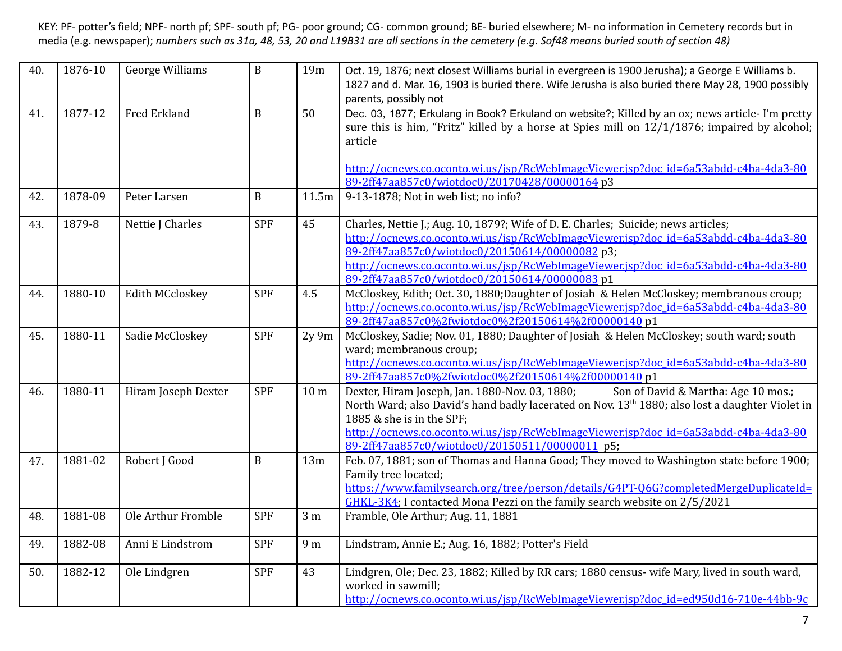| 40. | 1876-10 | <b>George Williams</b> | $\mathbf B$  | 19m             | Oct. 19, 1876; next closest Williams burial in evergreen is 1900 Jerusha); a George E Williams b.<br>1827 and d. Mar. 16, 1903 is buried there. Wife Jerusha is also buried there May 28, 1900 possibly<br>parents, possibly not                                                                                                                                           |
|-----|---------|------------------------|--------------|-----------------|----------------------------------------------------------------------------------------------------------------------------------------------------------------------------------------------------------------------------------------------------------------------------------------------------------------------------------------------------------------------------|
| 41. | 1877-12 | Fred Erkland           | $\, {\bf B}$ | 50              | Dec. 03, 1877; Erkulang in Book? Erkuland on website?; Killed by an ox; news article-I'm pretty<br>sure this is him, "Fritz" killed by a horse at Spies mill on 12/1/1876; impaired by alcohol;<br>article                                                                                                                                                                 |
|     |         |                        |              |                 | http://ocnews.co.oconto.wi.us/jsp/RcWebImageViewer.jsp?doc_id=6a53abdd-c4ba-4da3-80<br>89-2ff47aa857c0/wiotdoc0/20170428/00000164 p3                                                                                                                                                                                                                                       |
| 42. | 1878-09 | Peter Larsen           | B            | 11.5m           | 9-13-1878; Not in web list; no info?                                                                                                                                                                                                                                                                                                                                       |
| 43. | 1879-8  | Nettie J Charles       | <b>SPF</b>   | 45              | Charles, Nettie J.; Aug. 10, 1879?; Wife of D. E. Charles; Suicide; news articles;<br>http://ocnews.co.oconto.wi.us/jsp/RcWebImageViewer.jsp?doc_id=6a53abdd-c4ba-4da3-80<br>89-2ff47aa857c0/wiotdoc0/20150614/00000082p3;<br>http://ocnews.co.oconto.wi.us/isp/RcWebImageViewer.jsp?doc_id=6a53abdd-c4ba-4da3-80<br>89-2ff47aa857c0/wiotdoc0/20150614/00000083 p1         |
| 44. | 1880-10 | <b>Edith MCcloskey</b> | <b>SPF</b>   | 4.5             | McCloskey, Edith; Oct. 30, 1880;Daughter of Josiah & Helen McCloskey; membranous croup;<br>http://ocnews.co.oconto.wi.us/jsp/RcWebImageViewer.jsp?doc_id=6a53abdd-c4ba-4da3-80<br>89-2ff47aa857c0%2fwiotdoc0%2f20150614%2f00000140 p1                                                                                                                                      |
| 45. | 1880-11 | Sadie McCloskey        | <b>SPF</b>   | $2y\,9m$        | McCloskey, Sadie; Nov. 01, 1880; Daughter of Josiah & Helen McCloskey; south ward; south<br>ward; membranous croup;<br>http://ocnews.co.oconto.wi.us/jsp/RcWebImageViewer.jsp?doc_id=6a53abdd-c4ba-4da3-80<br>89-2ff47aa857c0%2fwiotdoc0%2f20150614%2f00000140 p1                                                                                                          |
| 46. | 1880-11 | Hiram Joseph Dexter    | <b>SPF</b>   | 10 <sub>m</sub> | Son of David & Martha: Age 10 mos.;<br>Dexter, Hiram Joseph, Jan. 1880-Nov. 03, 1880;<br>North Ward; also David's hand badly lacerated on Nov. 13 <sup>th</sup> 1880; also lost a daughter Violet in<br>1885 & she is in the SPF;<br>http://ocnews.co.oconto.wi.us/jsp/RcWebImageViewer.jsp?doc_id=6a53abdd-c4ba-4da3-80<br>89-2ff47aa857c0/wiotdoc0/20150511/00000011 p5; |
| 47. | 1881-02 | Robert J Good          | $\mathbf B$  | 13m             | Feb. 07, 1881; son of Thomas and Hanna Good; They moved to Washington state before 1900;<br>Family tree located;<br>https://www.familysearch.org/tree/person/details/G4PT-Q6G?completedMergeDuplicateId=<br>GHKL-3K4; I contacted Mona Pezzi on the family search website on 2/5/2021                                                                                      |
| 48. | 1881-08 | Ole Arthur Fromble     | <b>SPF</b>   | 3 <sub>m</sub>  | Framble, Ole Arthur; Aug. 11, 1881                                                                                                                                                                                                                                                                                                                                         |
| 49. | 1882-08 | Anni E Lindstrom       | <b>SPF</b>   | 9 m             | Lindstram, Annie E.; Aug. 16, 1882; Potter's Field                                                                                                                                                                                                                                                                                                                         |
| 50. | 1882-12 | Ole Lindgren           | <b>SPF</b>   | 43              | Lindgren, Ole; Dec. 23, 1882; Killed by RR cars; 1880 census- wife Mary, lived in south ward,<br>worked in sawmill;<br>http://ocnews.co.oconto.wi.us/isp/RcWebImageViewer.isp?doc_id=ed950d16-710e-44bb-9c                                                                                                                                                                 |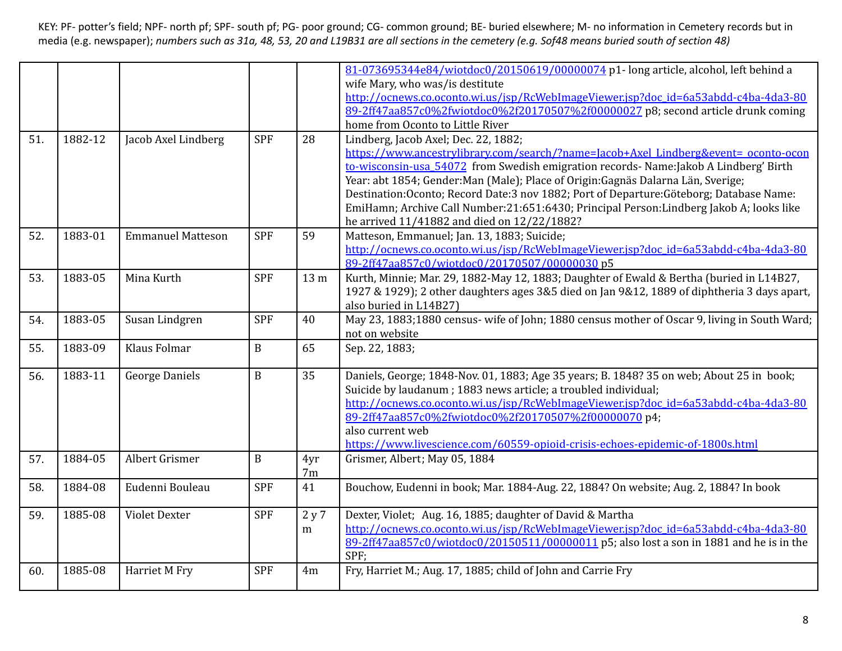|     |         |                          |            |       | 81-073695344e84/wiotdoc0/20150619/00000074 p1- long article, alcohol, left behind a          |
|-----|---------|--------------------------|------------|-------|----------------------------------------------------------------------------------------------|
|     |         |                          |            |       | wife Mary, who was/is destitute                                                              |
|     |         |                          |            |       | http://ocnews.co.oconto.wi.us/jsp/RcWebImageViewer.jsp?doc_id=6a53abdd-c4ba-4da3-80          |
|     |         |                          |            |       | 89-2ff47aa857c0%2fwiotdoc0%2f20170507%2f00000027 p8; second article drunk coming             |
|     |         |                          |            |       | home from Oconto to Little River                                                             |
| 51. | 1882-12 | Jacob Axel Lindberg      | <b>SPF</b> | 28    | Lindberg, Jacob Axel; Dec. 22, 1882;                                                         |
|     |         |                          |            |       | https://www.ancestrylibrary.com/search/?name=Jacob+Axel_Lindberg&event=_oconto-ocon          |
|     |         |                          |            |       | to-wisconsin-usa 54072 from Swedish emigration records- Name:Jakob A Lindberg' Birth         |
|     |         |                          |            |       | Year: abt 1854; Gender: Man (Male); Place of Origin: Gagnäs Dalarna Län, Sverige;            |
|     |         |                          |            |       | Destination: Oconto; Record Date: 3 nov 1882; Port of Departure: Göteborg; Database Name:    |
|     |         |                          |            |       | EmiHamn; Archive Call Number:21:651:6430; Principal Person:Lindberg Jakob A; looks like      |
|     |         |                          |            |       | he arrived 11/41882 and died on 12/22/1882?                                                  |
| 52. | 1883-01 | <b>Emmanuel Matteson</b> | <b>SPF</b> | 59    | Matteson, Emmanuel; Jan. 13, 1883; Suicide;                                                  |
|     |         |                          |            |       | http://ocnews.co.oconto.wi.us/jsp/RcWebImageViewer.jsp?doc_id=6a53abdd-c4ba-4da3-80          |
|     |         |                          |            |       | 89-2ff47aa857c0/wiotdoc0/20170507/00000030p5                                                 |
| 53. | 1883-05 | Mina Kurth               | <b>SPF</b> | 13 m  | Kurth, Minnie; Mar. 29, 1882-May 12, 1883; Daughter of Ewald & Bertha (buried in L14B27,     |
|     |         |                          |            |       | 1927 & 1929); 2 other daughters ages 3&5 died on Jan 9&12, 1889 of diphtheria 3 days apart,  |
|     |         |                          |            |       | also buried in L14B27)                                                                       |
| 54. | 1883-05 | Susan Lindgren           | <b>SPF</b> | 40    | May 23, 1883;1880 census- wife of John; 1880 census mother of Oscar 9, living in South Ward; |
|     |         |                          |            |       | not on website                                                                               |
| 55. | 1883-09 | Klaus Folmar             | $\bf{B}$   | 65    | Sep. 22, 1883;                                                                               |
|     |         |                          |            |       |                                                                                              |
| 56. | 1883-11 | <b>George Daniels</b>    | $\bf{B}$   | 35    | Daniels, George; 1848-Nov. 01, 1883; Age 35 years; B. 1848? 35 on web; About 25 in book;     |
|     |         |                          |            |       | Suicide by laudanum; 1883 news article; a troubled individual;                               |
|     |         |                          |            |       | http://ocnews.co.oconto.wi.us/jsp/RcWebImageViewer.jsp?doc_id=6a53abdd-c4ba-4da3-80          |
|     |         |                          |            |       | 89-2ff47aa857c0%2fwiotdoc0%2f20170507%2f00000070 p4;                                         |
|     |         |                          |            |       | also current web                                                                             |
|     |         |                          |            |       | https://www.livescience.com/60559-opioid-crisis-echoes-epidemic-of-1800s.html                |
| 57. | 1884-05 | Albert Grismer           | $\bf{B}$   | 4yr   | Grismer, Albert; May 05, 1884                                                                |
|     |         |                          |            | 7m    |                                                                                              |
| 58. | 1884-08 | Eudenni Bouleau          | <b>SPF</b> | 41    | Bouchow, Eudenni in book; Mar. 1884-Aug. 22, 1884? On website; Aug. 2, 1884? In book         |
|     |         |                          |            |       |                                                                                              |
| 59. | 1885-08 | <b>Violet Dexter</b>     | <b>SPF</b> | 2 y 7 | Dexter, Violet; Aug. 16, 1885; daughter of David & Martha                                    |
|     |         |                          |            | m     | http://ocnews.co.oconto.wi.us/jsp/RcWebImageViewer.jsp?doc_id=6a53abdd-c4ba-4da3-80          |
|     |         |                          |            |       | 89-2ff47aa857c0/wiotdoc0/20150511/00000011 p5; also lost a son in 1881 and he is in the      |
|     |         |                          |            |       | SPF;                                                                                         |
| 60. | 1885-08 | Harriet M Fry            | <b>SPF</b> | 4m    | Fry, Harriet M.; Aug. 17, 1885; child of John and Carrie Fry                                 |
|     |         |                          |            |       |                                                                                              |
|     |         |                          |            |       |                                                                                              |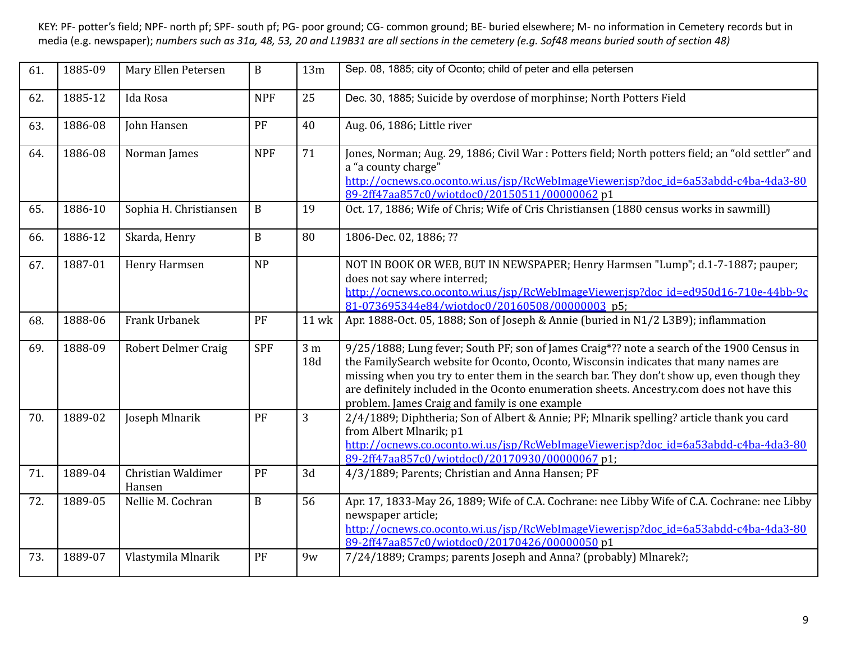| 61. | 1885-09 | Mary Ellen Petersen          | $\mathbf B$  | 13m                   | Sep. 08, 1885; city of Oconto; child of peter and ella petersen                                                                                                                                                                                                                                                                                                                                                                 |
|-----|---------|------------------------------|--------------|-----------------------|---------------------------------------------------------------------------------------------------------------------------------------------------------------------------------------------------------------------------------------------------------------------------------------------------------------------------------------------------------------------------------------------------------------------------------|
| 62. | 1885-12 | Ida Rosa                     | <b>NPF</b>   | 25                    | Dec. 30, 1885; Suicide by overdose of morphinse; North Potters Field                                                                                                                                                                                                                                                                                                                                                            |
| 63. | 1886-08 | John Hansen                  | PF           | 40                    | Aug. 06, 1886; Little river                                                                                                                                                                                                                                                                                                                                                                                                     |
| 64. | 1886-08 | Norman James                 | <b>NPF</b>   | 71                    | Jones, Norman; Aug. 29, 1886; Civil War : Potters field; North potters field; an "old settler" and<br>a "a county charge"<br>http://ocnews.co.oconto.wi.us/jsp/RcWebImageViewer.jsp?doc_id=6a53abdd-c4ba-4da3-80<br>89-2ff47aa857c0/wiotdoc0/20150511/00000062p1                                                                                                                                                                |
| 65. | 1886-10 | Sophia H. Christiansen       | $\mathbf B$  | 19                    | Oct. 17, 1886; Wife of Chris; Wife of Cris Christiansen (1880 census works in sawmill)                                                                                                                                                                                                                                                                                                                                          |
| 66. | 1886-12 | Skarda, Henry                | $\mathbf{B}$ | 80                    | 1806-Dec. 02, 1886; ??                                                                                                                                                                                                                                                                                                                                                                                                          |
| 67. | 1887-01 | Henry Harmsen                | <b>NP</b>    |                       | NOT IN BOOK OR WEB, BUT IN NEWSPAPER; Henry Harmsen "Lump"; d.1-7-1887; pauper;<br>does not say where interred;<br>http://ocnews.co.oconto.wi.us/jsp/RcWebImageViewer.jsp?doc_id=ed950d16-710e-44bb-9c<br>81-073695344e84/wiotdoc0/20160508/00000003 p5;                                                                                                                                                                        |
| 68. | 1888-06 | Frank Urbanek                | PF           | <b>11 wk</b>          | Apr. 1888-Oct. 05, 1888; Son of Joseph & Annie (buried in N1/2 L3B9); inflammation                                                                                                                                                                                                                                                                                                                                              |
| 69. | 1888-09 | <b>Robert Delmer Craig</b>   | <b>SPF</b>   | 3 <sub>m</sub><br>18d | 9/25/1888; Lung fever; South PF; son of James Craig*?? note a search of the 1900 Census in<br>the FamilySearch website for Oconto, Oconto, Wisconsin indicates that many names are<br>missing when you try to enter them in the search bar. They don't show up, even though they<br>are definitely included in the Oconto enumeration sheets. Ancestry.com does not have this<br>problem. James Craig and family is one example |
| 70. | 1889-02 | Joseph Mlnarik               | PF           | 3                     | 2/4/1889; Diphtheria; Son of Albert & Annie; PF; Mlnarik spelling? article thank you card<br>from Albert Mlnarik; p1<br>http://ocnews.co.oconto.wi.us/jsp/RcWebImageViewer.jsp?doc_id=6a53abdd-c4ba-4da3-80<br>89-2ff47aa857c0/wiotdoc0/20170930/00000067 p1;                                                                                                                                                                   |
| 71. | 1889-04 | Christian Waldimer<br>Hansen | PF           | 3d                    | 4/3/1889; Parents; Christian and Anna Hansen; PF                                                                                                                                                                                                                                                                                                                                                                                |
| 72. | 1889-05 | Nellie M. Cochran            | $\, {\bf B}$ | 56                    | Apr. 17, 1833-May 26, 1889; Wife of C.A. Cochrane: nee Libby Wife of C.A. Cochrane: nee Libby<br>newspaper article;<br>http://ocnews.co.oconto.wi.us/jsp/RcWebImageViewer.jsp?doc_id=6a53abdd-c4ba-4da3-80<br>89-2ff47aa857c0/wiotdoc0/20170426/00000050 p1                                                                                                                                                                     |
| 73. | 1889-07 | Vlastymila Mlnarik           | PF           | 9 <sub>W</sub>        | 7/24/1889; Cramps; parents Joseph and Anna? (probably) Mlnarek?;                                                                                                                                                                                                                                                                                                                                                                |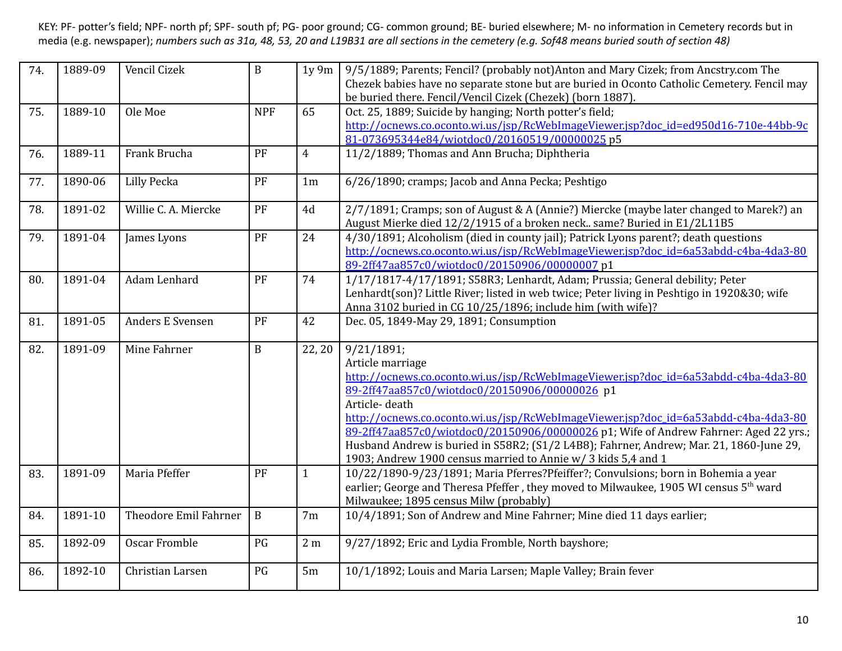| 74. | 1889-09 | Vencil Cizek          | $\, {\bf B}$ | $1y\,9m$       | 9/5/1889; Parents; Fencil? (probably not)Anton and Mary Cizek; from Ancstry.com The                                                                                         |
|-----|---------|-----------------------|--------------|----------------|-----------------------------------------------------------------------------------------------------------------------------------------------------------------------------|
|     |         |                       |              |                | Chezek babies have no separate stone but are buried in Oconto Catholic Cemetery. Fencil may                                                                                 |
|     |         |                       |              |                | be buried there. Fencil/Vencil Cizek (Chezek) (born 1887).                                                                                                                  |
| 75. | 1889-10 | Ole Moe               | <b>NPF</b>   | 65             | Oct. 25, 1889; Suicide by hanging; North potter's field;                                                                                                                    |
|     |         |                       |              |                | http://ocnews.co.oconto.wi.us/jsp/RcWebImageViewer.jsp?doc_id=ed950d16-710e-44bb-9c                                                                                         |
|     |         |                       |              |                | 81-073695344e84/wiotdoc0/20160519/00000025p5                                                                                                                                |
| 76. | 1889-11 | Frank Brucha          | PF           | $\overline{4}$ | 11/2/1889; Thomas and Ann Brucha; Diphtheria                                                                                                                                |
| 77. | 1890-06 | <b>Lilly Pecka</b>    | PF           | 1 <sub>m</sub> | 6/26/1890; cramps; Jacob and Anna Pecka; Peshtigo                                                                                                                           |
| 78. | 1891-02 | Willie C. A. Miercke  | PF           | 4d             | 2/7/1891; Cramps; son of August & A (Annie?) Miercke (maybe later changed to Marek?) an                                                                                     |
|     |         |                       |              |                | August Mierke died 12/2/1915 of a broken neck same? Buried in E1/2L11B5                                                                                                     |
| 79. | 1891-04 | James Lyons           | PF           | 24             | 4/30/1891; Alcoholism (died in county jail); Patrick Lyons parent?; death questions                                                                                         |
|     |         |                       |              |                | http://ocnews.co.oconto.wi.us/jsp/RcWebImageViewer.jsp?doc_id=6a53abdd-c4ba-4da3-80<br>89-2ff47aa857c0/wiotdoc0/20150906/00000007p1                                         |
|     | 1891-04 | Adam Lenhard          | PF           | 74             |                                                                                                                                                                             |
| 80. |         |                       |              |                | 1/17/1817-4/17/1891; S58R3; Lenhardt, Adam; Prussia; General debility; Peter<br>Lenhardt(son)? Little River; listed in web twice; Peter living in Peshtigo in 1920&30; wife |
|     |         |                       |              |                | Anna 3102 buried in CG 10/25/1896; include him (with wife)?                                                                                                                 |
| 81. | 1891-05 | Anders E Svensen      | PF           | 42             | Dec. 05, 1849-May 29, 1891; Consumption                                                                                                                                     |
|     |         |                       |              |                |                                                                                                                                                                             |
| 82. | 1891-09 | Mine Fahrner          | $\bf{B}$     | 22, 20         | 9/21/1891;                                                                                                                                                                  |
|     |         |                       |              |                | Article marriage                                                                                                                                                            |
|     |         |                       |              |                | http://ocnews.co.oconto.wi.us/jsp/RcWebImageViewer.jsp?doc_id=6a53abdd-c4ba-4da3-80                                                                                         |
|     |         |                       |              |                | 89-2ff47aa857c0/wiotdoc0/20150906/00000026 p1                                                                                                                               |
|     |         |                       |              |                | Article-death                                                                                                                                                               |
|     |         |                       |              |                | http://ocnews.co.oconto.wi.us/jsp/RcWebImageViewer.jsp?doc_id=6a53abdd-c4ba-4da3-80                                                                                         |
|     |         |                       |              |                | 89-2ff47aa857c0/wiotdoc0/20150906/00000026 p1; Wife of Andrew Fahrner: Aged 22 yrs.;                                                                                        |
|     |         |                       |              |                | Husband Andrew is buried in S58R2; (S1/2 L4B8); Fahrner, Andrew; Mar. 21, 1860-June 29,                                                                                     |
|     |         |                       |              |                | 1903; Andrew 1900 census married to Annie w/ 3 kids 5,4 and 1                                                                                                               |
| 83. | 1891-09 | Maria Pfeffer         | PF           | $\mathbf{1}$   | 10/22/1890-9/23/1891; Maria Pferres?Pfeiffer?; Convulsions; born in Bohemia a year                                                                                          |
|     |         |                       |              |                | earlier; George and Theresa Pfeffer, they moved to Milwaukee, 1905 WI census 5 <sup>th</sup> ward                                                                           |
|     |         |                       |              |                | Milwaukee; 1895 census Milw (probably)                                                                                                                                      |
| 84. | 1891-10 | Theodore Emil Fahrner | $\, {\bf B}$ | 7 <sub>m</sub> | 10/4/1891; Son of Andrew and Mine Fahrner; Mine died 11 days earlier;                                                                                                       |
| 85. | 1892-09 | <b>Oscar Fromble</b>  | PG           | 2 <sub>m</sub> | 9/27/1892; Eric and Lydia Fromble, North bayshore;                                                                                                                          |
| 86. | 1892-10 | Christian Larsen      | PG           | 5m             | 10/1/1892; Louis and Maria Larsen; Maple Valley; Brain fever                                                                                                                |
|     |         |                       |              |                |                                                                                                                                                                             |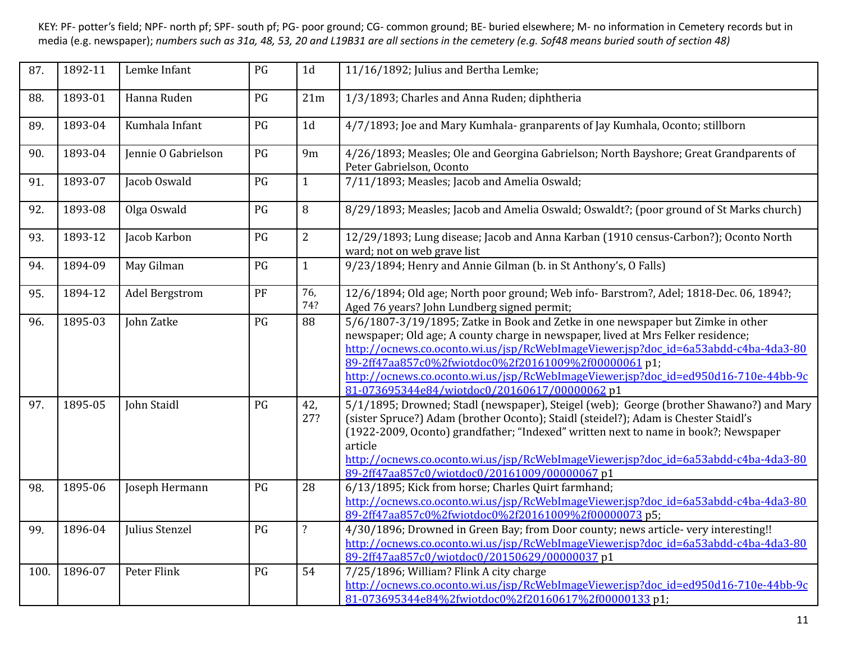| 87.  | 1892-11 | Lemke Infant        | PG | 1 <sub>d</sub>           | 11/16/1892; Julius and Bertha Lemke;                                                                                                                                                                                                                                                                                                                                                                                                                      |
|------|---------|---------------------|----|--------------------------|-----------------------------------------------------------------------------------------------------------------------------------------------------------------------------------------------------------------------------------------------------------------------------------------------------------------------------------------------------------------------------------------------------------------------------------------------------------|
| 88.  | 1893-01 | Hanna Ruden         | PG | 21m                      | 1/3/1893; Charles and Anna Ruden; diphtheria                                                                                                                                                                                                                                                                                                                                                                                                              |
| 89.  | 1893-04 | Kumhala Infant      | PG | 1 <sub>d</sub>           | 4/7/1893; Joe and Mary Kumhala- granparents of Jay Kumhala, Oconto; stillborn                                                                                                                                                                                                                                                                                                                                                                             |
| 90.  | 1893-04 | Jennie O Gabrielson | PG | 9m                       | 4/26/1893; Measles; Ole and Georgina Gabrielson; North Bayshore; Great Grandparents of<br>Peter Gabrielson, Oconto                                                                                                                                                                                                                                                                                                                                        |
| 91.  | 1893-07 | Jacob Oswald        | PG | $\mathbf{1}$             | 7/11/1893; Measles; Jacob and Amelia Oswald;                                                                                                                                                                                                                                                                                                                                                                                                              |
| 92.  | 1893-08 | Olga Oswald         | PG | 8                        | 8/29/1893; Measles; Jacob and Amelia Oswald; Oswaldt?; (poor ground of St Marks church)                                                                                                                                                                                                                                                                                                                                                                   |
| 93.  | 1893-12 | Jacob Karbon        | PG | $\overline{2}$           | 12/29/1893; Lung disease; Jacob and Anna Karban (1910 census-Carbon?); Oconto North<br>ward; not on web grave list                                                                                                                                                                                                                                                                                                                                        |
| 94.  | 1894-09 | May Gilman          | PG | $\mathbf{1}$             | 9/23/1894; Henry and Annie Gilman (b. in St Anthony's, O Falls)                                                                                                                                                                                                                                                                                                                                                                                           |
| 95.  | 1894-12 | Adel Bergstrom      | PF | 76,<br>74?               | 12/6/1894; Old age; North poor ground; Web info- Barstrom?, Adel; 1818-Dec. 06, 1894?;<br>Aged 76 years? John Lundberg signed permit;                                                                                                                                                                                                                                                                                                                     |
| 96.  | 1895-03 | John Zatke          | PG | 88                       | 5/6/1807-3/19/1895; Zatke in Book and Zetke in one newspaper but Zimke in other<br>newspaper; Old age; A county charge in newspaper, lived at Mrs Felker residence;<br>http://ocnews.co.oconto.wi.us/jsp/RcWebImageViewer.jsp?doc_id=6a53abdd-c4ba-4da3-80<br>89-2ff47aa857c0%2fwiotdoc0%2f20161009%2f00000061 p1;<br>http://ocnews.co.oconto.wi.us/jsp/RcWebImageViewer.jsp?doc_id=ed950d16-710e-44bb-9c<br>81-073695344e84/wiotdoc0/20160617/00000062p1 |
| 97.  | 1895-05 | John Staidl         | PG | 42,<br>27?               | 5/1/1895; Drowned; Stadl (newspaper), Steigel (web); George (brother Shawano?) and Mary<br>(sister Spruce?) Adam (brother Oconto); Staidl (steidel?); Adam is Chester Staidl's<br>(1922-2009, Oconto) grandfather; "Indexed" written next to name in book?; Newspaper<br>article<br>http://ocnews.co.oconto.wi.us/jsp/RcWebImageViewer.jsp?doc_id=6a53abdd-c4ba-4da3-80<br>89-2ff47aa857c0/wiotdoc0/20161009/00000067 p1                                  |
| 98.  | 1895-06 | Joseph Hermann      | PG | 28                       | 6/13/1895; Kick from horse; Charles Quirt farmhand;<br>http://ocnews.co.oconto.wi.us/jsp/RcWebImageViewer.jsp?doc_id=6a53abdd-c4ba-4da3-80<br>89-2ff47aa857c0%2fwiotdoc0%2f20161009%2f00000073 p5;                                                                                                                                                                                                                                                        |
| 99.  | 1896-04 | Julius Stenzel      | PG | $\overline{\mathcal{L}}$ | 4/30/1896; Drowned in Green Bay; from Door county; news article-very interesting!!<br>http://ocnews.co.oconto.wi.us/jsp/RcWebImageViewer.jsp?doc_id=6a53abdd-c4ba-4da3-80<br>89-2ff47aa857c0/wiotdoc0/20150629/00000037p1                                                                                                                                                                                                                                 |
| 100. | 1896-07 | Peter Flink         | PG | 54                       | 7/25/1896; William? Flink A city charge<br>http://ocnews.co.oconto.wi.us/jsp/RcWebImageViewer.jsp?doc_id=ed950d16-710e-44bb-9c<br>81-073695344e84%2fwiotdoc0%2f20160617%2f00000133 p1;                                                                                                                                                                                                                                                                    |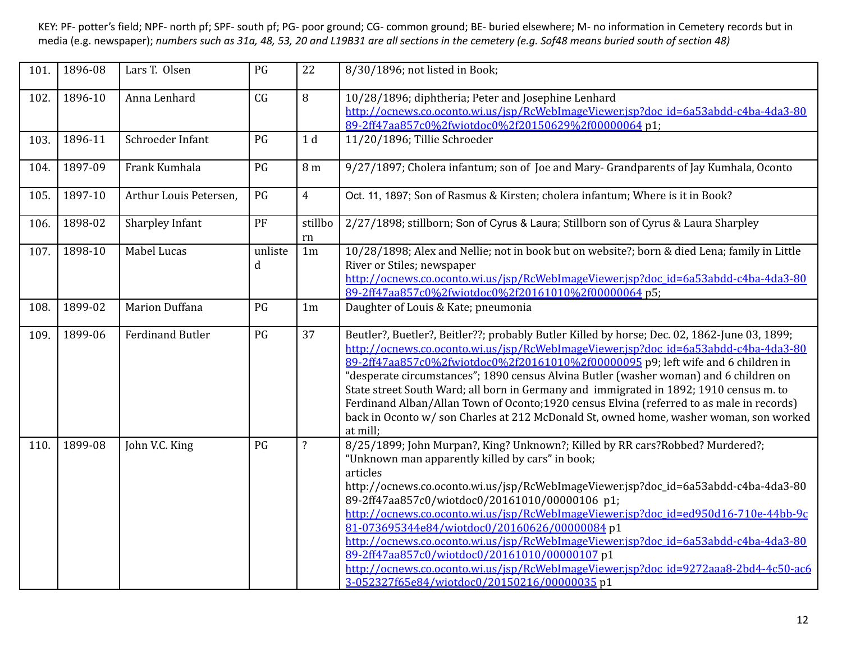| 101. | 1896-08 | Lars T. Olsen           | PG           | 22                 | 8/30/1896; not listed in Book;                                                                                                                                                                                                                                                                                                                                                                                                                                                                                                                                                                                                                                                                                |
|------|---------|-------------------------|--------------|--------------------|---------------------------------------------------------------------------------------------------------------------------------------------------------------------------------------------------------------------------------------------------------------------------------------------------------------------------------------------------------------------------------------------------------------------------------------------------------------------------------------------------------------------------------------------------------------------------------------------------------------------------------------------------------------------------------------------------------------|
| 102. | 1896-10 | Anna Lenhard            | CG           | 8                  | 10/28/1896; diphtheria; Peter and Josephine Lenhard<br>http://ocnews.co.oconto.wi.us/jsp/RcWebImageViewer.jsp?doc_id=6a53abdd-c4ba-4da3-80<br>89-2ff47aa857c0%2fwiotdoc0%2f20150629%2f00000064 p1;                                                                                                                                                                                                                                                                                                                                                                                                                                                                                                            |
| 103. | 1896-11 | Schroeder Infant        | PG           | 1 <sub>d</sub>     | 11/20/1896; Tillie Schroeder                                                                                                                                                                                                                                                                                                                                                                                                                                                                                                                                                                                                                                                                                  |
| 104. | 1897-09 | Frank Kumhala           | PG           | 8 m                | 9/27/1897; Cholera infantum; son of Joe and Mary-Grandparents of Jay Kumhala, Oconto                                                                                                                                                                                                                                                                                                                                                                                                                                                                                                                                                                                                                          |
| 105. | 1897-10 | Arthur Louis Petersen,  | PG           | $\overline{4}$     | Oct. 11, 1897; Son of Rasmus & Kirsten; cholera infantum; Where is it in Book?                                                                                                                                                                                                                                                                                                                                                                                                                                                                                                                                                                                                                                |
| 106. | 1898-02 | Sharpley Infant         | PF           | stillbo<br>rn      | 2/27/1898; stillborn; Son of Cyrus & Laura; Stillborn son of Cyrus & Laura Sharpley                                                                                                                                                                                                                                                                                                                                                                                                                                                                                                                                                                                                                           |
| 107. | 1898-10 | Mabel Lucas             | unliste<br>d | 1 <sub>m</sub>     | 10/28/1898; Alex and Nellie; not in book but on website?; born & died Lena; family in Little<br>River or Stiles; newspaper<br>http://ocnews.co.oconto.wi.us/jsp/RcWebImageViewer.jsp?doc_id=6a53abdd-c4ba-4da3-80<br>89-2ff47aa857c0%2fwiotdoc0%2f20161010%2f00000064 p5;                                                                                                                                                                                                                                                                                                                                                                                                                                     |
| 108. | 1899-02 | <b>Marion Duffana</b>   | PG           | 1 <sub>m</sub>     | Daughter of Louis & Kate; pneumonia                                                                                                                                                                                                                                                                                                                                                                                                                                                                                                                                                                                                                                                                           |
| 109. | 1899-06 | <b>Ferdinand Butler</b> | PG           | 37                 | Beutler?, Buetler?, Beitler??; probably Butler Killed by horse; Dec. 02, 1862-June 03, 1899;<br>http://ocnews.co.oconto.wi.us/jsp/RcWebImageViewer.jsp?doc_id=6a53abdd-c4ba-4da3-80<br>89-2ff47aa857c0%2fwiotdoc0%2f20161010%2f00000095 p9; left wife and 6 children in<br>"desperate circumstances"; 1890 census Alvina Butler (washer woman) and 6 children on<br>State street South Ward; all born in Germany and immigrated in 1892; 1910 census m. to<br>Ferdinand Alban/Allan Town of Oconto;1920 census Elvina (referred to as male in records)<br>back in Oconto w/ son Charles at 212 McDonald St, owned home, washer woman, son worked<br>at mill;                                                  |
| 110. | 1899-08 | John V.C. King          | PG           | $\overline{\cdot}$ | 8/25/1899; John Murpan?, King? Unknown?; Killed by RR cars?Robbed? Murdered?;<br>"Unknown man apparently killed by cars" in book;<br>articles<br>http://ocnews.co.oconto.wi.us/jsp/RcWebImageViewer.jsp?doc_id=6a53abdd-c4ba-4da3-80<br>89-2ff47aa857c0/wiotdoc0/20161010/00000106 p1;<br>http://ocnews.co.oconto.wi.us/jsp/RcWebImageViewer.jsp?doc_id=ed950d16-710e-44bb-9c<br>81-073695344e84/wiotdoc0/20160626/00000084 p1<br>http://ocnews.co.oconto.wi.us/jsp/RcWebImageViewer.jsp?doc_id=6a53abdd-c4ba-4da3-80<br>89-2ff47aa857c0/wiotdoc0/20161010/00000107 p1<br>http://ocnews.co.oconto.wi.us/jsp/RcWebImageViewer.jsp?doc_id=9272aaa8-2bd4-4c50-ac6<br>3-052327f65e84/wiotdoc0/20150216/00000035p1 |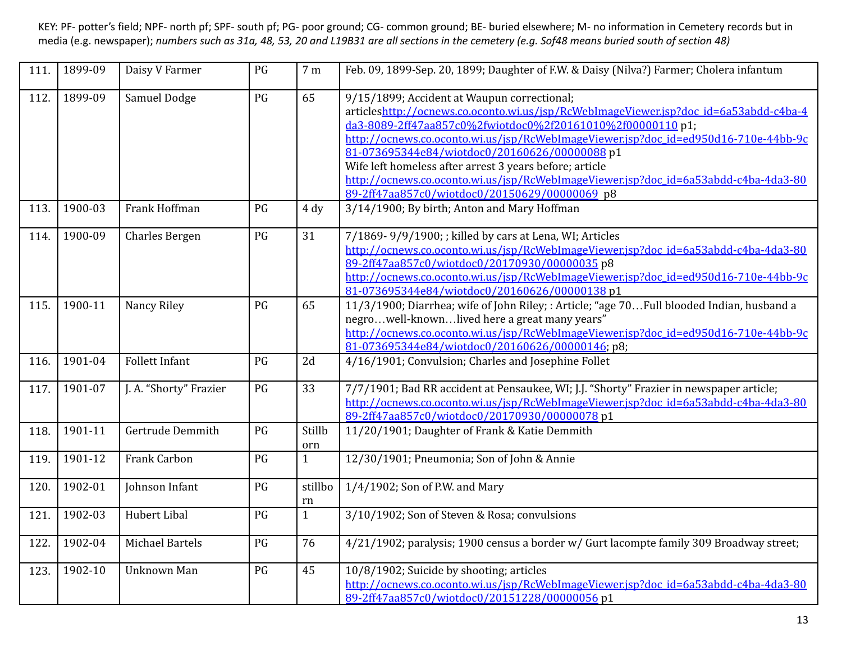| 111.         | 1899-09            | Daisy V Farmer                | PG       | 7 <sub>m</sub> | Feb. 09, 1899-Sep. 20, 1899; Daughter of F.W. & Daisy (Nilva?) Farmer; Cholera infantum                                                                                                                                                                                                                                                                                                                                                                                                                                                                                                      |
|--------------|--------------------|-------------------------------|----------|----------------|----------------------------------------------------------------------------------------------------------------------------------------------------------------------------------------------------------------------------------------------------------------------------------------------------------------------------------------------------------------------------------------------------------------------------------------------------------------------------------------------------------------------------------------------------------------------------------------------|
| 112.<br>113. | 1899-09<br>1900-03 | Samuel Dodge<br>Frank Hoffman | PG<br>PG | 65<br>4 dy     | 9/15/1899; Accident at Waupun correctional;<br>articleshttp://ocnews.co.oconto.wi.us/isp/RcWebImageViewer.isp?doc_id=6a53abdd-c4ba-4<br>da3-8089-2ff47aa857c0%2fwiotdoc0%2f20161010%2f00000110 p1;<br>http://ocnews.co.oconto.wi.us/jsp/RcWebImageViewer.jsp?doc_id=ed950d16-710e-44bb-9c<br>81-073695344e84/wiotdoc0/20160626/00000088 p1<br>Wife left homeless after arrest 3 years before; article<br>http://ocnews.co.oconto.wi.us/jsp/RcWebImageViewer.jsp?doc_id=6a53abdd-c4ba-4da3-80<br>89-2ff47aa857c0/wiotdoc0/20150629/00000069 p8<br>3/14/1900; By birth; Anton and Mary Hoffman |
| 114.         | 1900-09            | Charles Bergen                | PG       | 31             | 7/1869-9/9/1900; ; killed by cars at Lena, WI; Articles<br>http://ocnews.co.oconto.wi.us/jsp/RcWebImageViewer.jsp?doc_id=6a53abdd-c4ba-4da3-80<br>89-2ff47aa857c0/wiotdoc0/20170930/00000035p8<br>http://ocnews.co.oconto.wi.us/jsp/RcWebImageViewer.jsp?doc_id=ed950d16-710e-44bb-9c<br>81-073695344e84/wiotdoc0/20160626/00000138 p1                                                                                                                                                                                                                                                       |
| 115.         | 1900-11            | Nancy Riley                   | PG       | 65             | 11/3/1900; Diarrhea; wife of John Riley; : Article; "age 70Full blooded Indian, husband a<br>negrowell-knownlived here a great many years"<br>http://ocnews.co.oconto.wi.us/jsp/RcWebImageViewer.jsp?doc_id=ed950d16-710e-44bb-9c<br>81-073695344e84/wiotdoc0/20160626/00000146; p8;                                                                                                                                                                                                                                                                                                         |
| 116.         | 1901-04            | <b>Follett Infant</b>         | PG       | 2d             | 4/16/1901; Convulsion; Charles and Josephine Follet                                                                                                                                                                                                                                                                                                                                                                                                                                                                                                                                          |
| 117.         | 1901-07            | J. A. "Shorty" Frazier        | PG       | 33             | 7/7/1901; Bad RR accident at Pensaukee, WI; J.J. "Shorty" Frazier in newspaper article;<br>http://ocnews.co.oconto.wi.us/jsp/RcWebImageViewer.jsp?doc_id=6a53abdd-c4ba-4da3-80<br>89-2ff47aa857c0/wiotdoc0/20170930/00000078p1                                                                                                                                                                                                                                                                                                                                                               |
| 118.         | 1901-11            | Gertrude Demmith              | PG       | Stillb<br>orn  | 11/20/1901; Daughter of Frank & Katie Demmith                                                                                                                                                                                                                                                                                                                                                                                                                                                                                                                                                |
| 119.         | 1901-12            | <b>Frank Carbon</b>           | PG       | $\mathbf{1}$   | 12/30/1901; Pneumonia; Son of John & Annie                                                                                                                                                                                                                                                                                                                                                                                                                                                                                                                                                   |
| 120.         | 1902-01            | Johnson Infant                | PG       | stillbo<br>rn  | 1/4/1902; Son of P.W. and Mary                                                                                                                                                                                                                                                                                                                                                                                                                                                                                                                                                               |
| 121.         | 1902-03            | <b>Hubert Libal</b>           | PG       | $\mathbf{1}$   | 3/10/1902; Son of Steven & Rosa; convulsions                                                                                                                                                                                                                                                                                                                                                                                                                                                                                                                                                 |
| 122.         | 1902-04            | Michael Bartels               | PG       | 76             | 4/21/1902; paralysis; 1900 census a border w/ Gurt lacompte family 309 Broadway street;                                                                                                                                                                                                                                                                                                                                                                                                                                                                                                      |
| 123.         | 1902-10            | <b>Unknown Man</b>            | PG       | 45             | 10/8/1902; Suicide by shooting; articles<br>http://ocnews.co.oconto.wi.us/jsp/RcWebImageViewer.jsp?doc_id=6a53abdd-c4ba-4da3-80<br>89-2ff47aa857c0/wiotdoc0/20151228/00000056 p1                                                                                                                                                                                                                                                                                                                                                                                                             |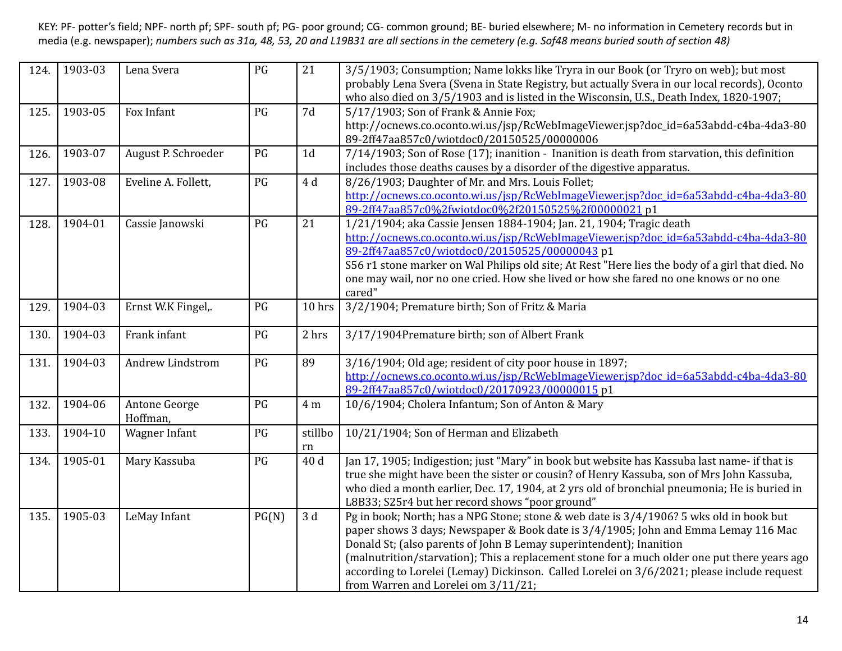| 124. | 1903-03 | Lena Svera                | PG    | 21             | 3/5/1903; Consumption; Name lokks like Tryra in our Book (or Tryro on web); but most<br>probably Lena Svera (Svena in State Registry, but actually Svera in our local records), Oconto<br>who also died on 3/5/1903 and is listed in the Wisconsin, U.S., Death Index, 1820-1907;                                                                                                                                                                                                            |
|------|---------|---------------------------|-------|----------------|----------------------------------------------------------------------------------------------------------------------------------------------------------------------------------------------------------------------------------------------------------------------------------------------------------------------------------------------------------------------------------------------------------------------------------------------------------------------------------------------|
| 125. | 1903-05 | Fox Infant                | PG    | 7d             | 5/17/1903; Son of Frank & Annie Fox;<br>http://ocnews.co.oconto.wi.us/jsp/RcWebImageViewer.jsp?doc_id=6a53abdd-c4ba-4da3-80<br>89-2ff47aa857c0/wiotdoc0/20150525/00000006                                                                                                                                                                                                                                                                                                                    |
| 126. | 1903-07 | August P. Schroeder       | PG    | 1 <sub>d</sub> | 7/14/1903; Son of Rose (17); inanition - Inanition is death from starvation, this definition<br>includes those deaths causes by a disorder of the digestive apparatus.                                                                                                                                                                                                                                                                                                                       |
| 127. | 1903-08 | Eveline A. Follett,       | PG    | 4 d            | 8/26/1903; Daughter of Mr. and Mrs. Louis Follet;<br>http://ocnews.co.oconto.wi.us/jsp/RcWebImageViewer.jsp?doc_id=6a53abdd-c4ba-4da3-80<br>89-2ff47aa857c0%2fwiotdoc0%2f20150525%2f00000021 p1                                                                                                                                                                                                                                                                                              |
| 128. | 1904-01 | Cassie Janowski           | PG    | 21             | 1/21/1904; aka Cassie Jensen 1884-1904; Jan. 21, 1904; Tragic death<br>http://ocnews.co.oconto.wi.us/jsp/RcWebImageViewer.jsp?doc_id=6a53abdd-c4ba-4da3-80<br>89-2ff47aa857c0/wiotdoc0/20150525/00000043 p1<br>S56 r1 stone marker on Wal Philips old site; At Rest "Here lies the body of a girl that died. No<br>one may wail, nor no one cried. How she lived or how she fared no one knows or no one<br>cared"                                                                           |
| 129. | 1904-03 | Ernst W.K Fingel,.        | PG    | 10 hrs         | 3/2/1904; Premature birth; Son of Fritz & Maria                                                                                                                                                                                                                                                                                                                                                                                                                                              |
| 130. | 1904-03 | Frank infant              | PG    | 2 hrs          | 3/17/1904Premature birth; son of Albert Frank                                                                                                                                                                                                                                                                                                                                                                                                                                                |
| 131. | 1904-03 | <b>Andrew Lindstrom</b>   | PG    | 89             | 3/16/1904; Old age; resident of city poor house in 1897;<br>http://ocnews.co.oconto.wi.us/isp/RcWebImageViewer.jsp?doc_id=6a53abdd-c4ba-4da3-80<br>89-2ff47aa857c0/wiotdoc0/20170923/00000015p1                                                                                                                                                                                                                                                                                              |
| 132. | 1904-06 | Antone George<br>Hoffman, | PG    | 4 m            | 10/6/1904; Cholera Infantum; Son of Anton & Mary                                                                                                                                                                                                                                                                                                                                                                                                                                             |
| 133. | 1904-10 | Wagner Infant             | PG    | stillbo<br>rn  | 10/21/1904; Son of Herman and Elizabeth                                                                                                                                                                                                                                                                                                                                                                                                                                                      |
| 134. | 1905-01 | Mary Kassuba              | PG    | 40 d           | Jan 17, 1905; Indigestion; just "Mary" in book but website has Kassuba last name- if that is<br>true she might have been the sister or cousin? of Henry Kassuba, son of Mrs John Kassuba,<br>who died a month earlier, Dec. 17, 1904, at 2 yrs old of bronchial pneumonia; He is buried in<br>L8B33; S25r4 but her record shows "poor ground"                                                                                                                                                |
| 135. | 1905-03 | LeMay Infant              | PG(N) | 3d             | Pg in book; North; has a NPG Stone; stone & web date is 3/4/1906? 5 wks old in book but<br>paper shows 3 days; Newspaper & Book date is $3/4/1905$ ; John and Emma Lemay 116 Mac<br>Donald St; (also parents of John B Lemay superintendent); Inanition<br>(malnutrition/starvation); This a replacement stone for a much older one put there years ago<br>according to Lorelei (Lemay) Dickinson. Called Lorelei on 3/6/2021; please include request<br>from Warren and Lorelei om 3/11/21; |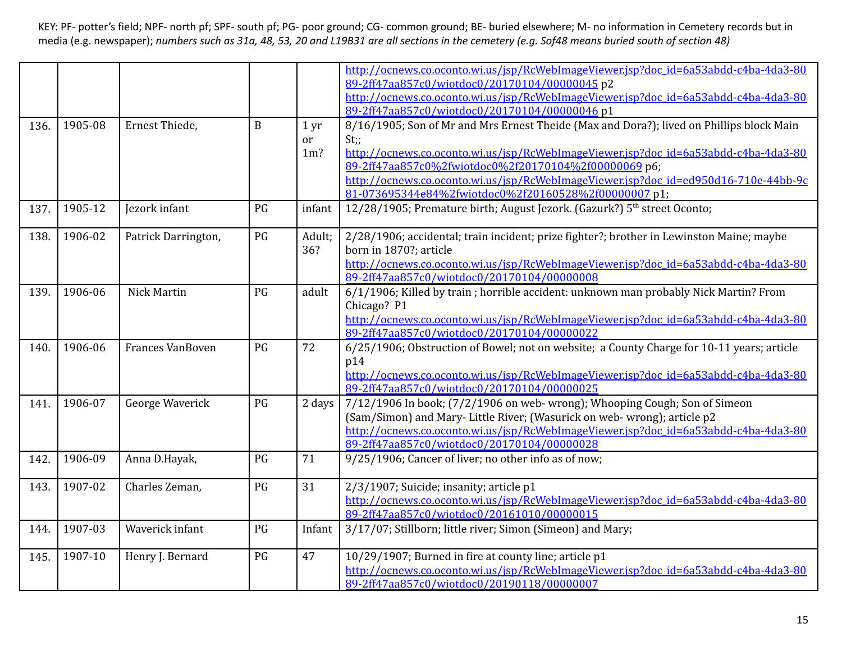|      |         |                     |              |                 | http://ocnews.co.oconto.wi.us/jsp/RcWebImageViewer.jsp?doc_id=6a53abdd-c4ba-4da3-80       |
|------|---------|---------------------|--------------|-----------------|-------------------------------------------------------------------------------------------|
|      |         |                     |              |                 | 89-2ff47aa857c0/wiotdoc0/20170104/00000045p2                                              |
|      |         |                     |              |                 | http://ocnews.co.oconto.wi.us/jsp/RcWebImageViewer.jsp?doc_id=6a53abdd-c4ba-4da3-80       |
|      |         |                     |              |                 | 89-2ff47aa857c0/wiotdoc0/20170104/00000046 p1                                             |
| 136. | 1905-08 | Ernest Thiede,      | $\mathbf{B}$ | 1 <sub>yr</sub> | 8/16/1905; Son of Mr and Mrs Ernest Theide (Max and Dora?); lived on Phillips block Main  |
|      |         |                     |              | or              | $St$ ;;                                                                                   |
|      |         |                     |              | $1m$ ?          | http://ocnews.co.oconto.wi.us/jsp/RcWebImageViewer.jsp?doc_id=6a53abdd-c4ba-4da3-80       |
|      |         |                     |              |                 | 89-2ff47aa857c0%2fwiotdoc0%2f20170104%2f00000069 p6;                                      |
|      |         |                     |              |                 | http://ocnews.co.oconto.wi.us/jsp/RcWebImageViewer.jsp?doc_id=ed950d16-710e-44bb-9c       |
|      |         |                     |              |                 | 81-073695344e84%2fwiotdoc0%2f20160528%2f00000007 p1;                                      |
|      | 1905-12 |                     | PG           |                 |                                                                                           |
| 137. |         | Jezork infant       |              | infant          | 12/28/1905; Premature birth; August Jezork. (Gazurk?) 5 <sup>th</sup> street Oconto;      |
| 138. | 1906-02 | Patrick Darrington, | PG           | Adult;          | 2/28/1906; accidental; train incident; prize fighter?; brother in Lewinston Maine; maybe  |
|      |         |                     |              | 36?             | born in 1870?; article                                                                    |
|      |         |                     |              |                 | http://ocnews.co.oconto.wi.us/jsp/RcWebImageViewer.jsp?doc_id=6a53abdd-c4ba-4da3-80       |
|      |         |                     |              |                 | 89-2ff47aa857c0/wiotdoc0/20170104/00000008                                                |
| 139. | 1906-06 | <b>Nick Martin</b>  | PG           | adult           | 6/1/1906; Killed by train; horrible accident: unknown man probably Nick Martin? From      |
|      |         |                     |              |                 | Chicago? P1                                                                               |
|      |         |                     |              |                 | http://ocnews.co.oconto.wi.us/jsp/RcWebImageViewer.jsp?doc_id=6a53abdd-c4ba-4da3-80       |
|      |         |                     |              |                 | 89-2ff47aa857c0/wiotdoc0/20170104/00000022                                                |
| 140. | 1906-06 | Frances VanBoven    | PG           | 72              | 6/25/1906; Obstruction of Bowel; not on website; a County Charge for 10-11 years; article |
|      |         |                     |              |                 | p14                                                                                       |
|      |         |                     |              |                 | http://ocnews.co.oconto.wi.us/jsp/RcWebImageViewer.jsp?doc_id=6a53abdd-c4ba-4da3-80       |
|      |         |                     |              |                 | 89-2ff47aa857c0/wiotdoc0/20170104/00000025                                                |
| 141. | 1906-07 | George Waverick     | PG           | 2 days          | 7/12/1906 In book; (7/2/1906 on web-wrong); Whooping Cough; Son of Simeon                 |
|      |         |                     |              |                 | (Sam/Simon) and Mary-Little River; (Wasurick on web-wrong); article p2                    |
|      |         |                     |              |                 | http://ocnews.co.oconto.wi.us/jsp/RcWebImageViewer.jsp?doc_id=6a53abdd-c4ba-4da3-80       |
|      |         |                     |              |                 | 89-2ff47aa857c0/wiotdoc0/20170104/00000028                                                |
| 142. | 1906-09 | Anna D.Hayak,       | PG           | 71              | 9/25/1906; Cancer of liver; no other info as of now;                                      |
|      |         |                     |              |                 |                                                                                           |
| 143. | 1907-02 | Charles Zeman,      | PG           | 31              | 2/3/1907; Suicide; insanity; article p1                                                   |
|      |         |                     |              |                 | http://ocnews.co.oconto.wi.us/jsp/RcWebImageViewer.jsp?doc_id=6a53abdd-c4ba-4da3-80       |
|      |         |                     |              |                 | 89-2ff47aa857c0/wiotdoc0/20161010/00000015                                                |
| 144. | 1907-03 | Waverick infant     | PG           | Infant          | 3/17/07; Stillborn; little river; Simon (Simeon) and Mary;                                |
|      |         |                     |              |                 |                                                                                           |
| 145. | 1907-10 | Henry J. Bernard    | PG           | 47              | 10/29/1907; Burned in fire at county line; article p1                                     |
|      |         |                     |              |                 | http://ocnews.co.oconto.wi.us/jsp/RcWebImageViewer.jsp?doc_id=6a53abdd-c4ba-4da3-80       |
|      |         |                     |              |                 | 89-2ff47aa857c0/wiotdoc0/20190118/00000007                                                |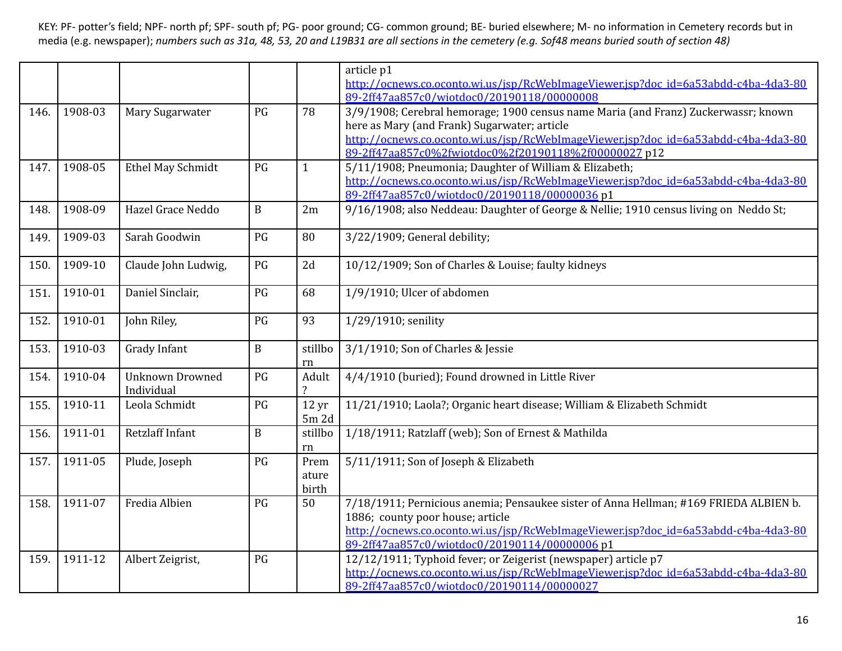|      |         |                        |              |                  | article p1                                                                            |
|------|---------|------------------------|--------------|------------------|---------------------------------------------------------------------------------------|
|      |         |                        |              |                  | http://ocnews.co.oconto.wi.us/isp/RcWebImageViewer.jsp?doc_id=6a53abdd-c4ba-4da3-80   |
|      |         |                        |              |                  | 89-2ff47aa857c0/wiotdoc0/20190118/00000008                                            |
| 146. | 1908-03 | Mary Sugarwater        | PG           | 78               | 3/9/1908; Cerebral hemorage; 1900 census name Maria (and Franz) Zuckerwassr; known    |
|      |         |                        |              |                  | here as Mary (and Frank) Sugarwater; article                                          |
|      |         |                        |              |                  | http://ocnews.co.oconto.wi.us/jsp/RcWebImageViewer.jsp?doc_id=6a53abdd-c4ba-4da3-80   |
|      |         |                        |              |                  | 89-2ff47aa857c0%2fwiotdoc0%2f20190118%2f00000027 p12                                  |
| 147. | 1908-05 | Ethel May Schmidt      | PG           | $\mathbf{1}$     | 5/11/1908; Pneumonia; Daughter of William & Elizabeth;                                |
|      |         |                        |              |                  | http://ocnews.co.oconto.wi.us/jsp/RcWebImageViewer.jsp?doc_id=6a53abdd-c4ba-4da3-80   |
|      |         |                        |              |                  | 89-2ff47aa857c0/wiotdoc0/20190118/00000036 p1                                         |
| 148. | 1908-09 | Hazel Grace Neddo      | $\mathbf{B}$ | 2m               | 9/16/1908; also Neddeau: Daughter of George & Nellie; 1910 census living on Neddo St; |
|      |         |                        |              |                  |                                                                                       |
| 149. | 1909-03 | Sarah Goodwin          | PG           | 80               | 3/22/1909; General debility;                                                          |
|      |         |                        |              |                  |                                                                                       |
| 150. | 1909-10 | Claude John Ludwig,    | PG           | 2d               | 10/12/1909; Son of Charles & Louise; faulty kidneys                                   |
|      |         |                        |              |                  |                                                                                       |
| 151. | 1910-01 | Daniel Sinclair,       | PG           | 68               | 1/9/1910; Ulcer of abdomen                                                            |
|      |         |                        |              |                  |                                                                                       |
| 152. | 1910-01 | John Riley,            | PG           | 93               | 1/29/1910; senility                                                                   |
|      |         |                        |              |                  |                                                                                       |
| 153. | 1910-03 | Grady Infant           | $\mathbf B$  | stillbo          | 3/1/1910; Son of Charles & Jessie                                                     |
|      |         |                        |              | rn               |                                                                                       |
| 154. | 1910-04 | <b>Unknown Drowned</b> | PG           | Adult            | 4/4/1910 (buried); Found drowned in Little River                                      |
|      |         | Individual             |              |                  |                                                                                       |
| 155. | 1910-11 | Leola Schmidt          | PG           | 12 <sub>yr</sub> | 11/21/1910; Laola?; Organic heart disease; William & Elizabeth Schmidt                |
|      |         |                        |              | $5m$ 2d          |                                                                                       |
| 156. | 1911-01 | Retzlaff Infant        | $\mathbf B$  | stillbo          | 1/18/1911; Ratzlaff (web); Son of Ernest & Mathilda                                   |
|      |         |                        |              | rn               |                                                                                       |
| 157. | 1911-05 | Plude, Joseph          | PG           | Prem             | 5/11/1911; Son of Joseph & Elizabeth                                                  |
|      |         |                        |              | ature            |                                                                                       |
|      |         |                        |              | birth            |                                                                                       |
| 158. | 1911-07 | Fredia Albien          | PG           | $\overline{50}$  | 7/18/1911; Pernicious anemia; Pensaukee sister of Anna Hellman; #169 FRIEDA ALBIEN b. |
|      |         |                        |              |                  | 1886; county poor house; article                                                      |
|      |         |                        |              |                  | http://ocnews.co.oconto.wi.us/jsp/RcWebImageViewer.jsp?doc_id=6a53abdd-c4ba-4da3-80   |
|      |         |                        |              |                  | 89-2ff47aa857c0/wiotdoc0/20190114/00000006p1                                          |
| 159. | 1911-12 | Albert Zeigrist,       | PG           |                  | 12/12/1911; Typhoid fever; or Zeigerist (newspaper) article p7                        |
|      |         |                        |              |                  | http://ocnews.co.oconto.wi.us/jsp/RcWebImageViewer.jsp?doc_id=6a53abdd-c4ba-4da3-80   |
|      |         |                        |              |                  | 89-2ff47aa857c0/wiotdoc0/20190114/00000027                                            |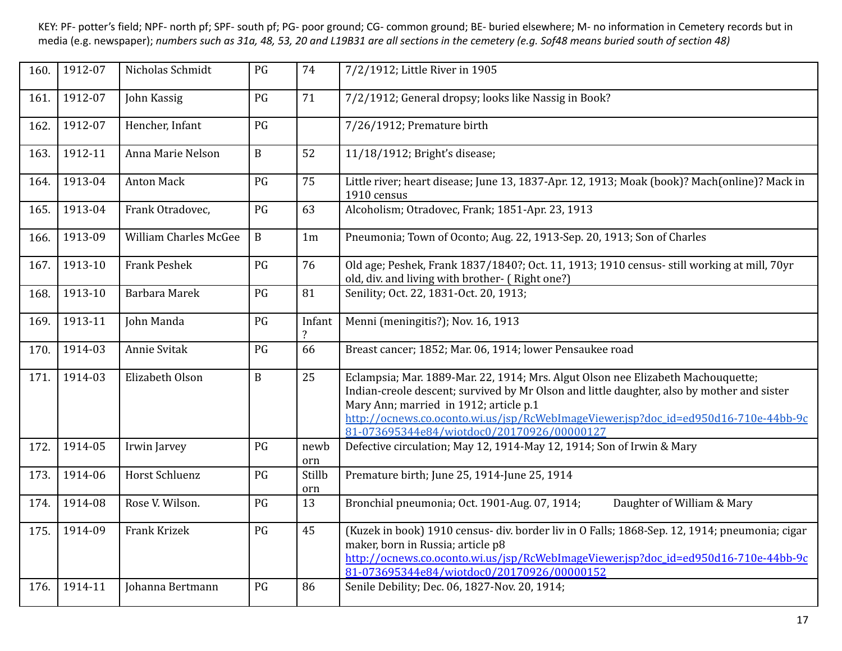| 160. | 1912-07 | Nicholas Schmidt             | PG           | 74                                   | 7/2/1912; Little River in 1905                                                                                                                                                                                                                                                                                                                                |
|------|---------|------------------------------|--------------|--------------------------------------|---------------------------------------------------------------------------------------------------------------------------------------------------------------------------------------------------------------------------------------------------------------------------------------------------------------------------------------------------------------|
| 161. | 1912-07 | John Kassig                  | PG           | 71                                   | 7/2/1912; General dropsy; looks like Nassig in Book?                                                                                                                                                                                                                                                                                                          |
| 162. | 1912-07 | Hencher, Infant              | PG           |                                      | 7/26/1912; Premature birth                                                                                                                                                                                                                                                                                                                                    |
| 163. | 1912-11 | Anna Marie Nelson            | $\, {\bf B}$ | 52                                   | 11/18/1912; Bright's disease;                                                                                                                                                                                                                                                                                                                                 |
| 164. | 1913-04 | <b>Anton Mack</b>            | PG           | 75                                   | Little river; heart disease; June 13, 1837-Apr. 12, 1913; Moak (book)? Mach(online)? Mack in<br>1910 census                                                                                                                                                                                                                                                   |
| 165. | 1913-04 | Frank Otradovec,             | PG           | 63                                   | Alcoholism; Otradovec, Frank; 1851-Apr. 23, 1913                                                                                                                                                                                                                                                                                                              |
| 166. | 1913-09 | <b>William Charles McGee</b> | $\, {\bf B}$ | 1 <sub>m</sub>                       | Pneumonia; Town of Oconto; Aug. 22, 1913-Sep. 20, 1913; Son of Charles                                                                                                                                                                                                                                                                                        |
| 167. | 1913-10 | <b>Frank Peshek</b>          | PG           | 76                                   | Old age; Peshek, Frank 1837/1840?; Oct. 11, 1913; 1910 census- still working at mill, 70yr<br>old, div. and living with brother- (Right one?)                                                                                                                                                                                                                 |
| 168. | 1913-10 | Barbara Marek                | PG           | 81                                   | Senility; Oct. 22, 1831-Oct. 20, 1913;                                                                                                                                                                                                                                                                                                                        |
| 169. | 1913-11 | John Manda                   | PG           | Infant<br>$\boldsymbol{\mathcal{P}}$ | Menni (meningitis?); Nov. 16, 1913                                                                                                                                                                                                                                                                                                                            |
| 170. | 1914-03 | Annie Svitak                 | PG           | 66                                   | Breast cancer; 1852; Mar. 06, 1914; lower Pensaukee road                                                                                                                                                                                                                                                                                                      |
| 171. | 1914-03 | Elizabeth Olson              | $\mathbf B$  | 25                                   | Eclampsia; Mar. 1889-Mar. 22, 1914; Mrs. Algut Olson nee Elizabeth Machouquette;<br>Indian-creole descent; survived by Mr Olson and little daughter, also by mother and sister<br>Mary Ann; married in 1912; article p.1<br>http://ocnews.co.oconto.wi.us/jsp/RcWebImageViewer.jsp?doc_id=ed950d16-710e-44bb-9c<br>81-073695344e84/wiotdoc0/20170926/00000127 |
| 172. | 1914-05 | Irwin Jarvey                 | PG           | newb<br>orn                          | Defective circulation; May 12, 1914-May 12, 1914; Son of Irwin & Mary                                                                                                                                                                                                                                                                                         |
| 173. | 1914-06 | Horst Schluenz               | PG           | Stillb<br>orn                        | Premature birth; June 25, 1914-June 25, 1914                                                                                                                                                                                                                                                                                                                  |
| 174. | 1914-08 | Rose V. Wilson.              | PG           | 13                                   | Daughter of William & Mary<br>Bronchial pneumonia; Oct. 1901-Aug. 07, 1914;                                                                                                                                                                                                                                                                                   |
| 175. | 1914-09 | <b>Frank Krizek</b>          | PG           | 45                                   | (Kuzek in book) 1910 census- div. border liv in O Falls; 1868-Sep. 12, 1914; pneumonia; cigar<br>maker, born in Russia; article p8<br>http://ocnews.co.oconto.wi.us/jsp/RcWebImageViewer.jsp?doc_id=ed950d16-710e-44bb-9c<br>81-073695344e84/wiotdoc0/20170926/00000152                                                                                       |
| 176. | 1914-11 | Johanna Bertmann             | PG           | 86                                   | Senile Debility; Dec. 06, 1827-Nov. 20, 1914;                                                                                                                                                                                                                                                                                                                 |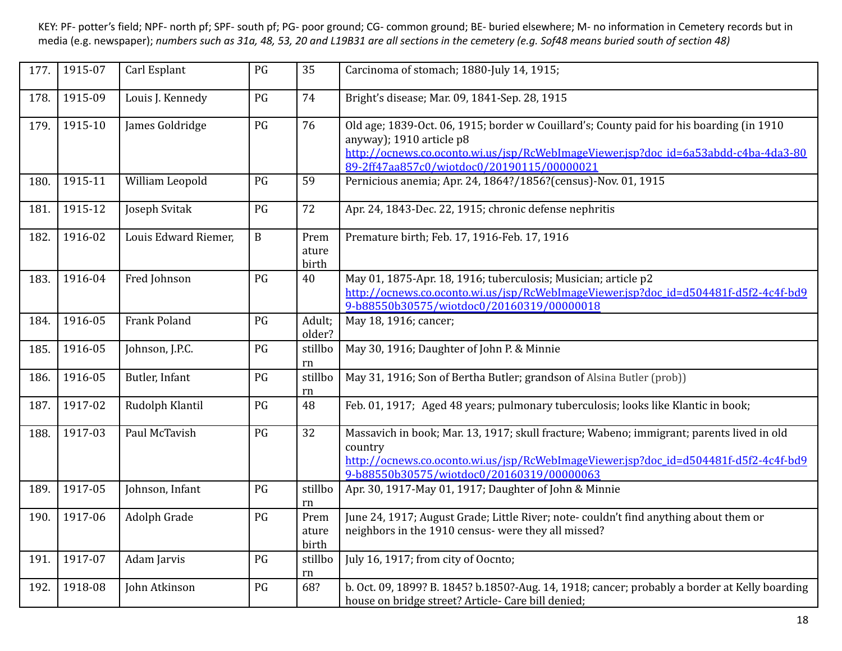| 177. | 1915-07 | Carl Esplant         | PG           | 35                     | Carcinoma of stomach; 1880-July 14, 1915;                                                                                                                                                                                                                  |
|------|---------|----------------------|--------------|------------------------|------------------------------------------------------------------------------------------------------------------------------------------------------------------------------------------------------------------------------------------------------------|
| 178. | 1915-09 | Louis J. Kennedy     | PG           | 74                     | Bright's disease; Mar. 09, 1841-Sep. 28, 1915                                                                                                                                                                                                              |
| 179. | 1915-10 | James Goldridge      | PG           | 76                     | Old age; 1839-Oct. 06, 1915; border w Couillard's; County paid for his boarding (in 1910)<br>anyway); 1910 article p8<br>http://ocnews.co.oconto.wi.us/jsp/RcWebImageViewer.jsp?doc_id=6a53abdd-c4ba-4da3-80<br>89-2ff47aa857c0/wiotdoc0/20190115/00000021 |
| 180. | 1915-11 | William Leopold      | PG           | 59                     | Pernicious anemia; Apr. 24, 1864?/1856?(census)-Nov. 01, 1915                                                                                                                                                                                              |
| 181. | 1915-12 | Joseph Svitak        | PG           | 72                     | Apr. 24, 1843-Dec. 22, 1915; chronic defense nephritis                                                                                                                                                                                                     |
| 182. | 1916-02 | Louis Edward Riemer, | $\, {\bf B}$ | Prem<br>ature<br>birth | Premature birth; Feb. 17, 1916-Feb. 17, 1916                                                                                                                                                                                                               |
| 183. | 1916-04 | Fred Johnson         | PG           | 40                     | May 01, 1875-Apr. 18, 1916; tuberculosis; Musician; article p2<br>http://ocnews.co.oconto.wi.us/jsp/RcWebImageViewer.jsp?doc_id=d504481f-d5f2-4c4f-bd9<br>9-b88550b30575/wiotdoc0/20160319/00000018                                                        |
| 184. | 1916-05 | <b>Frank Poland</b>  | PG           | Adult;<br>older?       | May 18, 1916; cancer;                                                                                                                                                                                                                                      |
| 185. | 1916-05 | Johnson, J.P.C.      | PG           | stillbo<br>rn          | May 30, 1916; Daughter of John P. & Minnie                                                                                                                                                                                                                 |
| 186. | 1916-05 | Butler, Infant       | PG           | stillbo<br>rn          | May 31, 1916; Son of Bertha Butler; grandson of Alsina Butler (prob))                                                                                                                                                                                      |
| 187. | 1917-02 | Rudolph Klantil      | PG           | 48                     | Feb. 01, 1917; Aged 48 years; pulmonary tuberculosis; looks like Klantic in book;                                                                                                                                                                          |
| 188. | 1917-03 | Paul McTavish        | PG           | 32                     | Massavich in book; Mar. 13, 1917; skull fracture; Wabeno; immigrant; parents lived in old<br>country<br>http://ocnews.co.oconto.wi.us/jsp/RcWebImageViewer.jsp?doc_id=d504481f-d5f2-4c4f-bd9<br>9-b88550b30575/wiotdoc0/20160319/00000063                  |
| 189. | 1917-05 | Johnson, Infant      | PG           | stillbo<br>rn          | Apr. 30, 1917-May 01, 1917; Daughter of John & Minnie                                                                                                                                                                                                      |
| 190. | 1917-06 | Adolph Grade         | PG           | Prem<br>ature<br>birth | June 24, 1917; August Grade; Little River; note-couldn't find anything about them or<br>neighbors in the 1910 census- were they all missed?                                                                                                                |
| 191. | 1917-07 | Adam Jarvis          | PG           | stillbo<br>rn          | July 16, 1917; from city of Oocnto;                                                                                                                                                                                                                        |
| 192. | 1918-08 | John Atkinson        | PG           | 68?                    | b. Oct. 09, 1899? B. 1845? b.1850?-Aug. 14, 1918; cancer; probably a border at Kelly boarding<br>house on bridge street? Article- Care bill denied;                                                                                                        |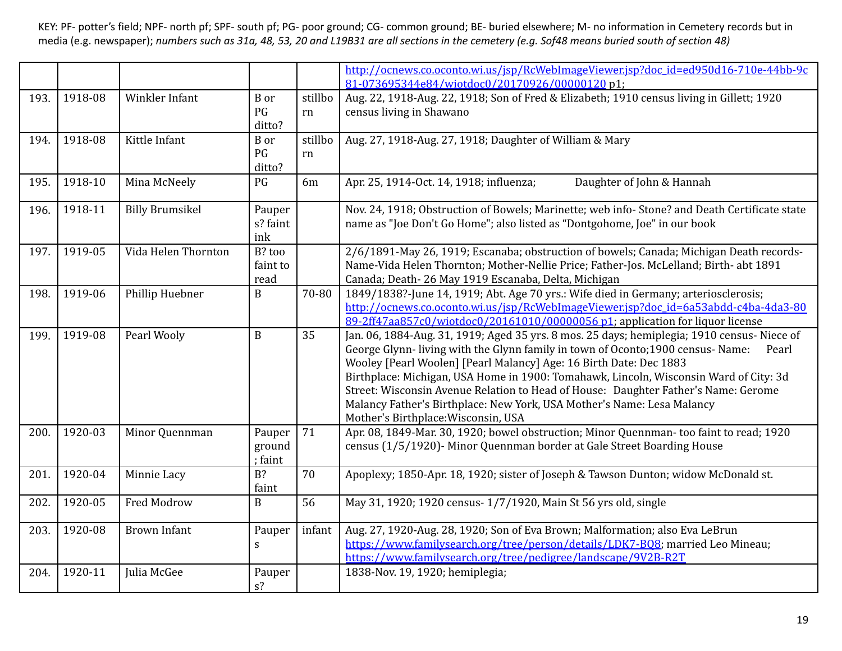|      |         |                        |                             |               | http://ocnews.co.oconto.wi.us/jsp/RcWebImageViewer.jsp?doc_id=ed950d16-710e-44bb-9c<br>81-073695344e84/wiotdoc0/20170926/00000120 p1;                                                                                                                                                                                                                                                                                                                                                                                                                        |
|------|---------|------------------------|-----------------------------|---------------|--------------------------------------------------------------------------------------------------------------------------------------------------------------------------------------------------------------------------------------------------------------------------------------------------------------------------------------------------------------------------------------------------------------------------------------------------------------------------------------------------------------------------------------------------------------|
| 193. | 1918-08 | Winkler Infant         | <b>B</b> or<br>PG<br>ditto? | stillbo<br>rn | Aug. 22, 1918-Aug. 22, 1918; Son of Fred & Elizabeth; 1910 census living in Gillett; 1920<br>census living in Shawano                                                                                                                                                                                                                                                                                                                                                                                                                                        |
| 194. | 1918-08 | Kittle Infant          | <b>B</b> or<br>PG<br>ditto? | stillbo<br>rn | Aug. 27, 1918-Aug. 27, 1918; Daughter of William & Mary                                                                                                                                                                                                                                                                                                                                                                                                                                                                                                      |
| 195. | 1918-10 | Mina McNeely           | PG                          | 6m            | Daughter of John & Hannah<br>Apr. 25, 1914-Oct. 14, 1918; influenza;                                                                                                                                                                                                                                                                                                                                                                                                                                                                                         |
| 196. | 1918-11 | <b>Billy Brumsikel</b> | Pauper<br>s? faint<br>ink   |               | Nov. 24, 1918; Obstruction of Bowels; Marinette; web info-Stone? and Death Certificate state<br>name as "Joe Don't Go Home"; also listed as "Dontgohome, Joe" in our book                                                                                                                                                                                                                                                                                                                                                                                    |
| 197. | 1919-05 | Vida Helen Thornton    | B? too<br>faint to<br>read  |               | 2/6/1891-May 26, 1919; Escanaba; obstruction of bowels; Canada; Michigan Death records-<br>Name-Vida Helen Thornton; Mother-Nellie Price; Father-Jos. McLelland; Birth- abt 1891<br>Canada; Death-26 May 1919 Escanaba, Delta, Michigan                                                                                                                                                                                                                                                                                                                      |
| 198. | 1919-06 | Phillip Huebner        | $\mathbf B$                 | 70-80         | 1849/1838?-June 14, 1919; Abt. Age 70 yrs.: Wife died in Germany; arteriosclerosis;<br>http://ocnews.co.oconto.wi.us/jsp/RcWebImageViewer.jsp?doc_id=6a53abdd-c4ba-4da3-80<br>89-2ff47aa857c0/wiotdoc0/20161010/00000056 p1; application for liquor license                                                                                                                                                                                                                                                                                                  |
| 199. | 1919-08 | Pearl Wooly            | B                           | 35            | Jan. 06, 1884-Aug. 31, 1919; Aged 35 yrs. 8 mos. 25 days; hemiplegia; 1910 census- Niece of<br>George Glynn-living with the Glynn family in town of Oconto; 1900 census-Name:<br>Pearl<br>Wooley [Pearl Woolen] [Pearl Malancy] Age: 16 Birth Date: Dec 1883<br>Birthplace: Michigan, USA Home in 1900: Tomahawk, Lincoln, Wisconsin Ward of City: 3d<br>Street: Wisconsin Avenue Relation to Head of House: Daughter Father's Name: Gerome<br>Malancy Father's Birthplace: New York, USA Mother's Name: Lesa Malancy<br>Mother's Birthplace: Wisconsin, USA |
| 200. | 1920-03 | Minor Quennman         | Pauper<br>ground<br>; faint | 71            | Apr. 08, 1849-Mar. 30, 1920; bowel obstruction; Minor Quennman- too faint to read; 1920<br>census (1/5/1920) - Minor Quennman border at Gale Street Boarding House                                                                                                                                                                                                                                                                                                                                                                                           |
| 201. | 1920-04 | Minnie Lacy            | $B$ ?<br>faint              | 70            | Apoplexy; 1850-Apr. 18, 1920; sister of Joseph & Tawson Dunton; widow McDonald st.                                                                                                                                                                                                                                                                                                                                                                                                                                                                           |
| 202. | 1920-05 | Fred Modrow            | B                           | 56            | May 31, 1920; 1920 census- 1/7/1920, Main St 56 yrs old, single                                                                                                                                                                                                                                                                                                                                                                                                                                                                                              |
| 203. | 1920-08 | <b>Brown Infant</b>    | Pauper<br>${\bf S}$         | infant        | Aug. 27, 1920-Aug. 28, 1920; Son of Eva Brown; Malformation; also Eva LeBrun<br>https://www.familysearch.org/tree/person/details/LDK7-B08; married Leo Mineau;<br>https://www.familysearch.org/tree/pedigree/landscape/9V2B-R2T                                                                                                                                                                                                                                                                                                                              |
| 204. | 1920-11 | Julia McGee            | Pauper<br>$s$ ?             |               | 1838-Nov. 19, 1920; hemiplegia;                                                                                                                                                                                                                                                                                                                                                                                                                                                                                                                              |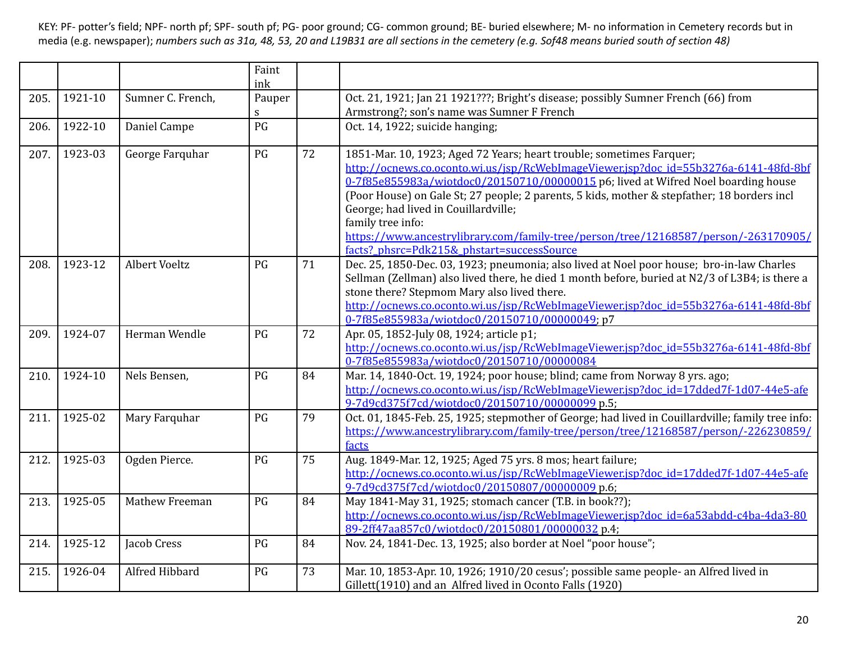|      |         |                   | Faint<br>ink |    |                                                                                                                                                                                                                                                                                                                                                                                                                                                                                                                                                    |
|------|---------|-------------------|--------------|----|----------------------------------------------------------------------------------------------------------------------------------------------------------------------------------------------------------------------------------------------------------------------------------------------------------------------------------------------------------------------------------------------------------------------------------------------------------------------------------------------------------------------------------------------------|
| 205. | 1921-10 | Sumner C. French, | Pauper       |    | Oct. 21, 1921; Jan 21 1921???; Bright's disease; possibly Sumner French (66) from                                                                                                                                                                                                                                                                                                                                                                                                                                                                  |
|      |         |                   | S            |    | Armstrong?; son's name was Sumner F French                                                                                                                                                                                                                                                                                                                                                                                                                                                                                                         |
| 206. | 1922-10 | Daniel Campe      | PG           |    | Oct. 14, 1922; suicide hanging;                                                                                                                                                                                                                                                                                                                                                                                                                                                                                                                    |
| 207. | 1923-03 | George Farquhar   | PG           | 72 | 1851-Mar. 10, 1923; Aged 72 Years; heart trouble; sometimes Farquer;<br>http://ocnews.co.oconto.wi.us/jsp/RcWebImageViewer.jsp?doc_id=55b3276a-6141-48fd-8bf<br>0-7f85e855983a/wiotdoc0/20150710/00000015 p6; lived at Wifred Noel boarding house<br>(Poor House) on Gale St; 27 people; 2 parents, 5 kids, mother & stepfather; 18 borders incl<br>George; had lived in Couillardville;<br>family tree info:<br>https://www.ancestrylibrary.com/family-tree/person/tree/12168587/person/-263170905/<br>facts? phsrc=Pdk215& phstart=successSource |
| 208. | 1923-12 | Albert Voeltz     | PG           | 71 | Dec. 25, 1850-Dec. 03, 1923; pneumonia; also lived at Noel poor house; bro-in-law Charles<br>Sellman (Zellman) also lived there, he died 1 month before, buried at N2/3 of L3B4; is there a<br>stone there? Stepmom Mary also lived there.<br>http://ocnews.co.oconto.wi.us/jsp/RcWebImageViewer.jsp?doc_id=55b3276a-6141-48fd-8bf<br>0-7f85e855983a/wiotdoc0/20150710/00000049; p7                                                                                                                                                                |
| 209. | 1924-07 | Herman Wendle     | PG           | 72 | Apr. 05, 1852-July 08, 1924; article p1;<br>http://ocnews.co.oconto.wi.us/jsp/RcWebImageViewer.jsp?doc_id=55b3276a-6141-48fd-8bf<br>0-7f85e855983a/wiotdoc0/20150710/00000084                                                                                                                                                                                                                                                                                                                                                                      |
| 210. | 1924-10 | Nels Bensen,      | PG           | 84 | Mar. 14, 1840-Oct. 19, 1924; poor house; blind; came from Norway 8 yrs. ago;<br>http://ocnews.co.oconto.wi.us/jsp/RcWebImageViewer.jsp?doc_id=17dded7f-1d07-44e5-afe<br>9-7d9cd375f7cd/wiotdoc0/20150710/00000099 p.5;                                                                                                                                                                                                                                                                                                                             |
| 211. | 1925-02 | Mary Farquhar     | PG           | 79 | Oct. 01, 1845-Feb. 25, 1925; stepmother of George; had lived in Couillardville; family tree info:<br>https://www.ancestrylibrary.com/family-tree/person/tree/12168587/person/-226230859/<br>facts                                                                                                                                                                                                                                                                                                                                                  |
| 212. | 1925-03 | Ogden Pierce.     | PG           | 75 | Aug. 1849-Mar. 12, 1925; Aged 75 yrs. 8 mos; heart failure;<br>http://ocnews.co.oconto.wi.us/jsp/RcWebImageViewer.jsp?doc_id=17dded7f-1d07-44e5-afe<br>9-7d9cd375f7cd/wiotdoc0/20150807/00000009 p.6;                                                                                                                                                                                                                                                                                                                                              |
| 213. | 1925-05 | Mathew Freeman    | PG           | 84 | May 1841-May 31, 1925; stomach cancer (T.B. in book??);<br>http://ocnews.co.oconto.wi.us/jsp/RcWebImageViewer.jsp?doc_id=6a53abdd-c4ba-4da3-80<br>89-2ff47aa857c0/wiotdoc0/20150801/00000032 p.4;                                                                                                                                                                                                                                                                                                                                                  |
| 214. | 1925-12 | Jacob Cress       | PG           | 84 | Nov. 24, 1841-Dec. 13, 1925; also border at Noel "poor house";                                                                                                                                                                                                                                                                                                                                                                                                                                                                                     |
| 215. | 1926-04 | Alfred Hibbard    | PG           | 73 | Mar. 10, 1853-Apr. 10, 1926; 1910/20 cesus'; possible same people- an Alfred lived in<br>Gillett(1910) and an Alfred lived in Oconto Falls (1920)                                                                                                                                                                                                                                                                                                                                                                                                  |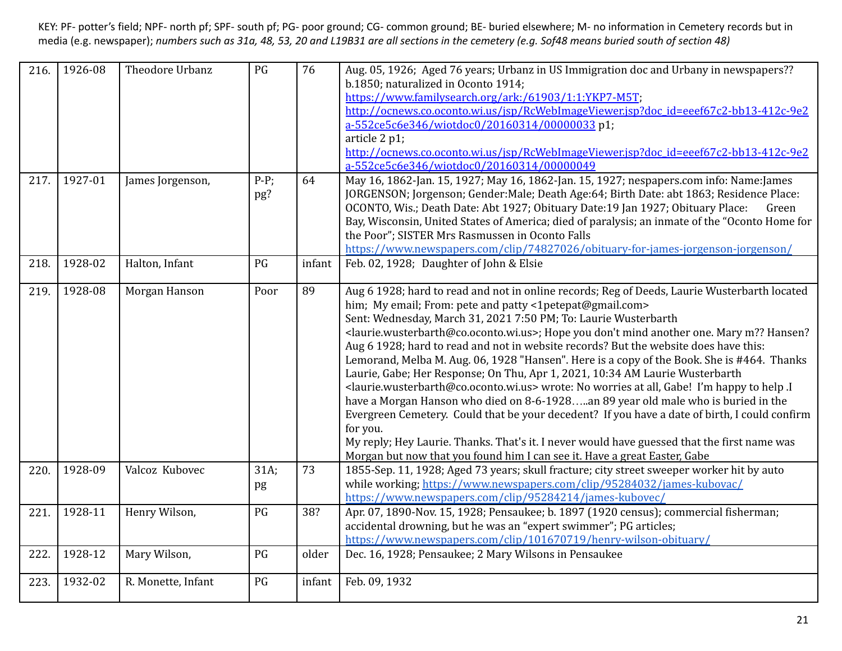| 216. | 1926-08 | Theodore Urbanz    | PG             | 76     | Aug. 05, 1926; Aged 76 years; Urbanz in US Immigration doc and Urbany in newspapers??<br>b.1850; naturalized in Oconto 1914;<br>https://www.familysearch.org/ark:/61903/1:1:YKP7-M5T;<br>http://ocnews.co.oconto.wi.us/jsp/RcWebImageViewer.jsp?doc_id=eeef67c2-bb13-412c-9e2<br>a-552ce5c6e346/wiotdoc0/20160314/00000033 p1;<br>article 2 p1;<br>http://ocnews.co.oconto.wi.us/jsp/RcWebImageViewer.jsp?doc_id=eeef67c2-bb13-412c-9e2<br>a-552ce5c6e346/wiotdoc0/20160314/00000049                                                                                                                                                                                                                                                                                                                                                                                                                                                                                                                                                                                                                                                                       |
|------|---------|--------------------|----------------|--------|------------------------------------------------------------------------------------------------------------------------------------------------------------------------------------------------------------------------------------------------------------------------------------------------------------------------------------------------------------------------------------------------------------------------------------------------------------------------------------------------------------------------------------------------------------------------------------------------------------------------------------------------------------------------------------------------------------------------------------------------------------------------------------------------------------------------------------------------------------------------------------------------------------------------------------------------------------------------------------------------------------------------------------------------------------------------------------------------------------------------------------------------------------|
| 217. | 1927-01 | James Jorgenson,   | $P-P$ ;<br>pg? | 64     | May 16, 1862-Jan. 15, 1927; May 16, 1862-Jan. 15, 1927; nespapers.com info: Name:James<br>JORGENSON; Jorgenson; Gender: Male; Death Age: 64; Birth Date: abt 1863; Residence Place:<br>OCONTO, Wis.; Death Date: Abt 1927; Obituary Date: 19 Jan 1927; Obituary Place:<br>Green<br>Bay, Wisconsin, United States of America; died of paralysis; an inmate of the "Oconto Home for<br>the Poor"; SISTER Mrs Rasmussen in Oconto Falls<br>https://www.newspapers.com/clip/74827026/obituary-for-james-jorgenson-jorgenson/                                                                                                                                                                                                                                                                                                                                                                                                                                                                                                                                                                                                                                   |
| 218. | 1928-02 | Halton, Infant     | PG             | infant | Feb. 02, 1928; Daughter of John & Elsie                                                                                                                                                                                                                                                                                                                                                                                                                                                                                                                                                                                                                                                                                                                                                                                                                                                                                                                                                                                                                                                                                                                    |
| 219. | 1928-08 | Morgan Hanson      | Poor           | 89     | Aug 6 1928; hard to read and not in online records; Reg of Deeds, Laurie Wusterbarth located<br>him; My email; From: pete and patty <1petepat@gmail.com><br>Sent: Wednesday, March 31, 2021 7:50 PM; To: Laurie Wusterbarth<br><laurie.wusterbarth@co.oconto.wi.us>; Hope you don't mind another one. Mary m?? Hansen?<br/>Aug 6 1928; hard to read and not in website records? But the website does have this:<br/>Lemorand, Melba M. Aug. 06, 1928 "Hansen". Here is a copy of the Book. She is #464. Thanks<br/>Laurie, Gabe; Her Response; On Thu, Apr 1, 2021, 10:34 AM Laurie Wusterbarth<br/><laurie.wusterbarth@co.oconto.wi.us> wrote: No worries at all, Gabe! I'm happy to help .I<br/>have a Morgan Hanson who died on 8-6-1928an 89 year old male who is buried in the<br/>Evergreen Cemetery. Could that be your decedent? If you have a date of birth, I could confirm<br/>for you.<br/>My reply; Hey Laurie. Thanks. That's it. I never would have guessed that the first name was<br/>Morgan but now that you found him I can see it. Have a great Easter, Gabe</laurie.wusterbarth@co.oconto.wi.us></laurie.wusterbarth@co.oconto.wi.us> |
| 220. | 1928-09 | Valcoz Kubovec     | 31A;<br>pg     | 73     | 1855-Sep. 11, 1928; Aged 73 years; skull fracture; city street sweeper worker hit by auto<br>while working; https://www.newspapers.com/clip/95284032/james-kubovac/<br>https://www.newspapers.com/clip/95284214/james-kubovec/                                                                                                                                                                                                                                                                                                                                                                                                                                                                                                                                                                                                                                                                                                                                                                                                                                                                                                                             |
| 221. | 1928-11 | Henry Wilson,      | PG             | 38?    | Apr. 07, 1890-Nov. 15, 1928; Pensaukee; b. 1897 (1920 census); commercial fisherman;<br>accidental drowning, but he was an "expert swimmer"; PG articles;<br>https://www.newspapers.com/clip/101670719/henry-wilson-obituary/                                                                                                                                                                                                                                                                                                                                                                                                                                                                                                                                                                                                                                                                                                                                                                                                                                                                                                                              |
| 222. | 1928-12 | Mary Wilson,       | PG             | older  | Dec. 16, 1928; Pensaukee; 2 Mary Wilsons in Pensaukee                                                                                                                                                                                                                                                                                                                                                                                                                                                                                                                                                                                                                                                                                                                                                                                                                                                                                                                                                                                                                                                                                                      |
| 223. | 1932-02 | R. Monette, Infant | PG             | infant | Feb. 09, 1932                                                                                                                                                                                                                                                                                                                                                                                                                                                                                                                                                                                                                                                                                                                                                                                                                                                                                                                                                                                                                                                                                                                                              |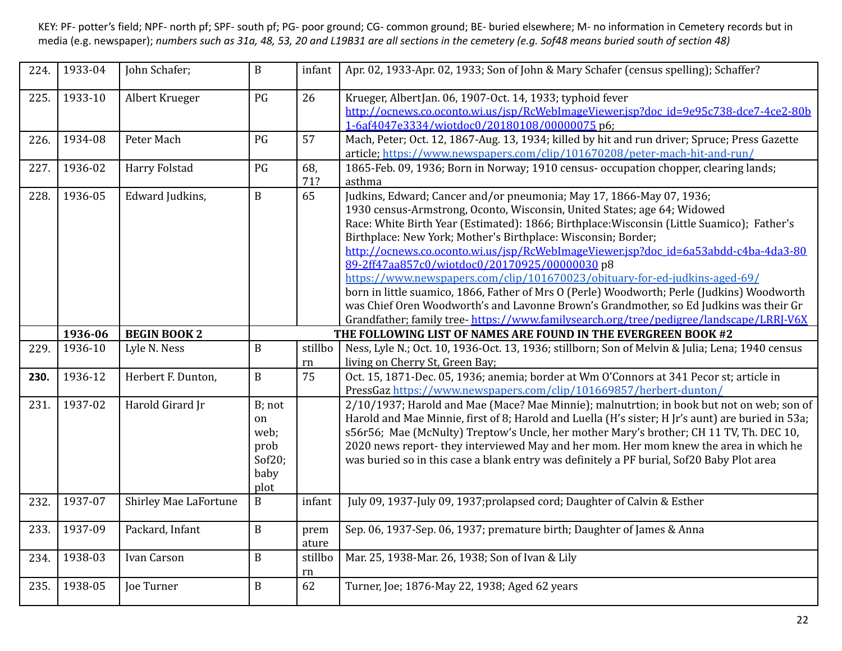| 224. | 1933-04 | John Schafer;                | $\, {\bf B}$                                                          | infant        | Apr. 02, 1933-Apr. 02, 1933; Son of John & Mary Schafer (census spelling); Schaffer?                                                                                                                                                                                                                                                                                                                                                                                                                                                                                                                                                                                                                                                                                                                                   |
|------|---------|------------------------------|-----------------------------------------------------------------------|---------------|------------------------------------------------------------------------------------------------------------------------------------------------------------------------------------------------------------------------------------------------------------------------------------------------------------------------------------------------------------------------------------------------------------------------------------------------------------------------------------------------------------------------------------------------------------------------------------------------------------------------------------------------------------------------------------------------------------------------------------------------------------------------------------------------------------------------|
| 225. | 1933-10 | Albert Krueger               | PG                                                                    | 26            | Krueger, AlbertJan. 06, 1907-Oct. 14, 1933; typhoid fever<br>http://ocnews.co.oconto.wi.us/isp/RcWebImageViewer.jsp?doc_id=9e95c738-dce7-4ce2-80b<br>1-6af4047e3334/wiotdoc0/20180108/00000075 p6;                                                                                                                                                                                                                                                                                                                                                                                                                                                                                                                                                                                                                     |
| 226. | 1934-08 | Peter Mach                   | PG                                                                    | 57            | Mach, Peter; Oct. 12, 1867-Aug. 13, 1934; killed by hit and run driver; Spruce; Press Gazette<br>article; https://www.newspapers.com/clip/101670208/peter-mach-hit-and-run/                                                                                                                                                                                                                                                                                                                                                                                                                                                                                                                                                                                                                                            |
| 227. | 1936-02 | Harry Folstad                | PG                                                                    | 68,<br>71?    | 1865-Feb. 09, 1936; Born in Norway; 1910 census- occupation chopper, clearing lands;<br>asthma                                                                                                                                                                                                                                                                                                                                                                                                                                                                                                                                                                                                                                                                                                                         |
| 228. | 1936-05 | Edward Judkins,              | $\, {\bf B}$                                                          | 65            | Judkins, Edward; Cancer and/or pneumonia; May 17, 1866-May 07, 1936;<br>1930 census-Armstrong, Oconto, Wisconsin, United States; age 64; Widowed<br>Race: White Birth Year (Estimated): 1866; Birthplace: Wisconsin (Little Suamico); Father's<br>Birthplace: New York; Mother's Birthplace: Wisconsin; Border;<br>http://ocnews.co.oconto.wi.us/jsp/RcWebImageViewer.jsp?doc_id=6a53abdd-c4ba-4da3-80<br>89-2ff47aa857c0/wiotdoc0/20170925/00000030p8<br>https://www.newspapers.com/clip/101670023/obituary-for-ed-judkins-aged-69/<br>born in little suamico, 1866, Father of Mrs O (Perle) Woodworth; Perle (Judkins) Woodworth<br>was Chief Oren Woodworth's and Lavonne Brown's Grandmother, so Ed Judkins was their Gr<br>Grandfather; family tree-https://www.familysearch.org/tree/pedigree/landscape/LRRJ-V6X |
|      | 1936-06 | <b>BEGIN BOOK 2</b>          |                                                                       |               | THE FOLLOWING LIST OF NAMES ARE FOUND IN THE EVERGREEN BOOK #2                                                                                                                                                                                                                                                                                                                                                                                                                                                                                                                                                                                                                                                                                                                                                         |
| 229. | 1936-10 | Lyle N. Ness                 | $\mathbf{B}$                                                          | stillbo       | Ness, Lyle N.; Oct. 10, 1936-Oct. 13, 1936; stillborn; Son of Melvin & Julia; Lena; 1940 census                                                                                                                                                                                                                                                                                                                                                                                                                                                                                                                                                                                                                                                                                                                        |
|      |         |                              |                                                                       | rn            | living on Cherry St, Green Bay;                                                                                                                                                                                                                                                                                                                                                                                                                                                                                                                                                                                                                                                                                                                                                                                        |
| 230. | 1936-12 | Herbert F. Dunton,           | $\mathbf B$                                                           | 75            | Oct. 15, 1871-Dec. 05, 1936; anemia; border at Wm O'Connors at 341 Pecor st; article in<br>PressGaz https://www.newspapers.com/clip/101669857/herbert-dunton/                                                                                                                                                                                                                                                                                                                                                                                                                                                                                                                                                                                                                                                          |
| 231. | 1937-02 | Harold Girard Jr             | B; not<br><sub>on</sub><br>web;<br>prob<br>Sof $20$ ;<br>baby<br>plot |               | 2/10/1937; Harold and Mae (Mace? Mae Minnie); malnutrtion; in book but not on web; son of<br>Harold and Mae Minnie, first of 8; Harold and Luella (H's sister; H Jr's aunt) are buried in 53a;<br>s56r56; Mae (McNulty) Treptow's Uncle, her mother Mary's brother; CH 11 TV, Th. DEC 10,<br>2020 news report- they interviewed May and her mom. Her mom knew the area in which he<br>was buried so in this case a blank entry was definitely a PF burial, Sof20 Baby Plot area                                                                                                                                                                                                                                                                                                                                        |
| 232. | 1937-07 | <b>Shirley Mae LaFortune</b> | $\, {\bf B}$                                                          | infant        | July 09, 1937-July 09, 1937; prolapsed cord; Daughter of Calvin & Esther                                                                                                                                                                                                                                                                                                                                                                                                                                                                                                                                                                                                                                                                                                                                               |
| 233. | 1937-09 | Packard, Infant              | $\mathbf B$                                                           | prem<br>ature | Sep. 06, 1937-Sep. 06, 1937; premature birth; Daughter of James & Anna                                                                                                                                                                                                                                                                                                                                                                                                                                                                                                                                                                                                                                                                                                                                                 |
| 234. | 1938-03 | Ivan Carson                  | $\, {\bf B}$                                                          | stillbo<br>rn | Mar. 25, 1938-Mar. 26, 1938; Son of Ivan & Lily                                                                                                                                                                                                                                                                                                                                                                                                                                                                                                                                                                                                                                                                                                                                                                        |
| 235. | 1938-05 | <b>Joe Turner</b>            | $\, {\bf B}$                                                          | 62            | Turner, Joe; 1876-May 22, 1938; Aged 62 years                                                                                                                                                                                                                                                                                                                                                                                                                                                                                                                                                                                                                                                                                                                                                                          |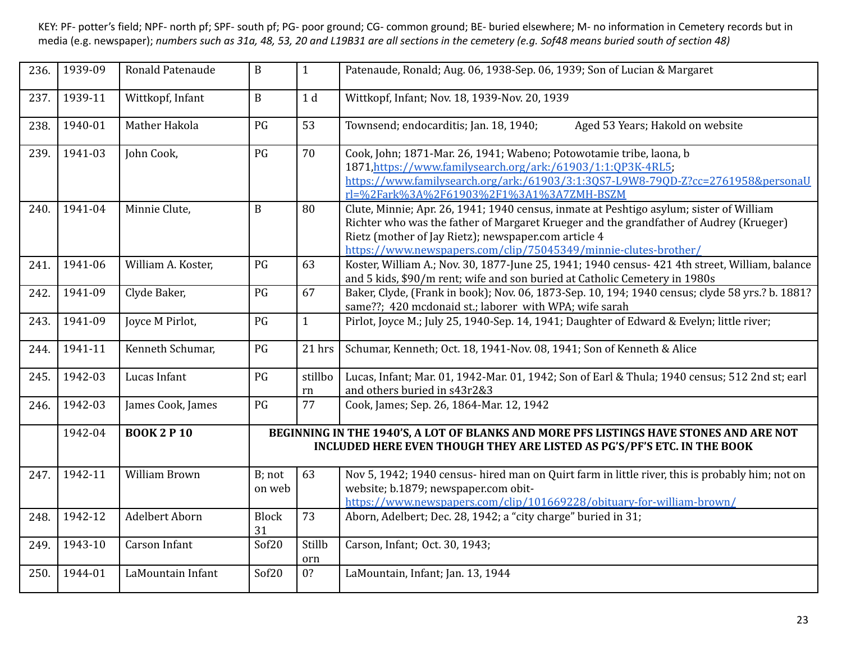| 236. | 1939-09 | Ronald Patenaude     | $\mathbf B$        | $\mathbf{1}$   | Patenaude, Ronald; Aug. 06, 1938-Sep. 06, 1939; Son of Lucian & Margaret                                                                                                                                                                                                                                     |
|------|---------|----------------------|--------------------|----------------|--------------------------------------------------------------------------------------------------------------------------------------------------------------------------------------------------------------------------------------------------------------------------------------------------------------|
| 237. | 1939-11 | Wittkopf, Infant     | $\, {\bf B}$       | 1 <sub>d</sub> | Wittkopf, Infant; Nov. 18, 1939-Nov. 20, 1939                                                                                                                                                                                                                                                                |
| 238. | 1940-01 | Mather Hakola        | PG                 | 53             | Townsend; endocarditis; Jan. 18, 1940;<br>Aged 53 Years; Hakold on website                                                                                                                                                                                                                                   |
| 239. | 1941-03 | John Cook,           | PG                 | 70             | Cook, John; 1871-Mar. 26, 1941; Wabeno; Potowotamie tribe, laona, b<br>1871, https://www.familysearch.org/ark:/61903/1:1:QP3K-4RL5;<br>https://www.familysearch.org/ark:/61903/3:1:3QS7-L9W8-79QD-Z?cc=2761958&personaU<br>rl=%2Fark%3A%2F61903%2F1%3A1%3A7ZMH-BSZM                                          |
| 240. | 1941-04 | Minnie Clute,        | $\mathbf{B}$       | 80             | Clute, Minnie; Apr. 26, 1941; 1940 census, inmate at Peshtigo asylum; sister of William<br>Richter who was the father of Margaret Krueger and the grandfather of Audrey (Krueger)<br>Rietz (mother of Jay Rietz); newspaper.com article 4<br>https://www.newspapers.com/clip/75045349/minnie-clutes-brother/ |
| 241. | 1941-06 | William A. Koster,   | PG                 | 63             | Koster, William A.; Nov. 30, 1877-June 25, 1941; 1940 census- 421 4th street, William, balance<br>and 5 kids, \$90/m rent; wife and son buried at Catholic Cemetery in 1980s                                                                                                                                 |
| 242. | 1941-09 | Clyde Baker,         | PG                 | 67             | Baker, Clyde, (Frank in book); Nov. 06, 1873-Sep. 10, 194; 1940 census; clyde 58 yrs.? b. 1881?<br>same??; 420 mcdonaid st.; laborer with WPA; wife sarah                                                                                                                                                    |
| 243. | 1941-09 | Joyce M Pirlot,      | PG                 | $\mathbf{1}$   | Pirlot, Joyce M.; July 25, 1940-Sep. 14, 1941; Daughter of Edward & Evelyn; little river;                                                                                                                                                                                                                    |
| 244. | 1941-11 | Kenneth Schumar,     | PG                 | 21 hrs         | Schumar, Kenneth; Oct. 18, 1941-Nov. 08, 1941; Son of Kenneth & Alice                                                                                                                                                                                                                                        |
| 245. | 1942-03 | Lucas Infant         | PG                 | stillbo<br>rn  | Lucas, Infant; Mar. 01, 1942-Mar. 01, 1942; Son of Earl & Thula; 1940 census; 512 2nd st; earl<br>and others buried in s43r2&3                                                                                                                                                                               |
| 246. | 1942-03 | James Cook, James    | PG                 | 77             | Cook, James; Sep. 26, 1864-Mar. 12, 1942                                                                                                                                                                                                                                                                     |
|      | 1942-04 | <b>BOOK 2 P 10</b>   |                    |                | BEGINNING IN THE 1940'S, A LOT OF BLANKS AND MORE PFS LISTINGS HAVE STONES AND ARE NOT<br>INCLUDED HERE EVEN THOUGH THEY ARE LISTED AS PG'S/PF'S ETC. IN THE BOOK                                                                                                                                            |
| 247. | 1942-11 | <b>William Brown</b> | B; not<br>on web   | 63             | Nov 5, 1942; 1940 census- hired man on Quirt farm in little river, this is probably him; not on<br>website; b.1879; newspaper.com obit-<br>https://www.newspapers.com/clip/101669228/obituary-for-william-brown/                                                                                             |
| 248. | 1942-12 | Adelbert Aborn       | <b>Block</b><br>31 | 73             | Aborn, Adelbert; Dec. 28, 1942; a "city charge" buried in 31;                                                                                                                                                                                                                                                |
| 249. | 1943-10 | Carson Infant        | Sof20              | Stillb<br>orn  | Carson, Infant; Oct. 30, 1943;                                                                                                                                                                                                                                                                               |
| 250. | 1944-01 | LaMountain Infant    | Sof20              | 0?             | LaMountain, Infant; Jan. 13, 1944                                                                                                                                                                                                                                                                            |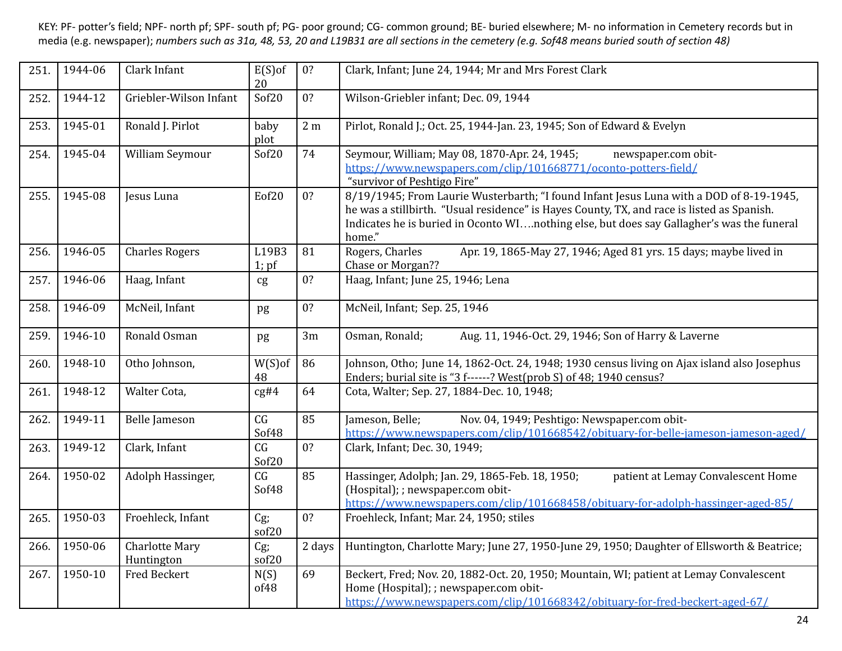| 251. | 1944-06 | Clark Infant                        | $E(S)$ of<br>20          | 0?              | Clark, Infant; June 24, 1944; Mr and Mrs Forest Clark                                                                                                                                                                                                                                        |
|------|---------|-------------------------------------|--------------------------|-----------------|----------------------------------------------------------------------------------------------------------------------------------------------------------------------------------------------------------------------------------------------------------------------------------------------|
| 252. | 1944-12 | Griebler-Wilson Infant              | Sof20                    | 0?              | Wilson-Griebler infant; Dec. 09, 1944                                                                                                                                                                                                                                                        |
| 253. | 1945-01 | Ronald J. Pirlot                    | baby<br>plot             | 2 <sub>m</sub>  | Pirlot, Ronald J.; Oct. 25, 1944-Jan. 23, 1945; Son of Edward & Evelyn                                                                                                                                                                                                                       |
| 254. | 1945-04 | William Seymour                     | Sof20                    | 74              | Seymour, William; May 08, 1870-Apr. 24, 1945;<br>newspaper.com obit-<br>https://www.newspapers.com/clip/101668771/oconto-potters-field/<br>"survivor of Peshtigo Fire"                                                                                                                       |
| 255. | 1945-08 | Jesus Luna                          | Eof20                    | 0?              | 8/19/1945; From Laurie Wusterbarth; "I found Infant Jesus Luna with a DOD of 8-19-1945,<br>he was a stillbirth. "Usual residence" is Hayes County, TX, and race is listed as Spanish.<br>Indicates he is buried in Oconto WInothing else, but does say Gallagher's was the funeral<br>home." |
| 256. | 1946-05 | <b>Charles Rogers</b>               | L19B3<br>$1$ ; pf        | 81              | Apr. 19, 1865-May 27, 1946; Aged 81 yrs. 15 days; maybe lived in<br>Rogers, Charles<br>Chase or Morgan??                                                                                                                                                                                     |
| 257. | 1946-06 | Haag, Infant                        | cg                       | 0?              | Haag, Infant; June 25, 1946; Lena                                                                                                                                                                                                                                                            |
| 258. | 1946-09 | McNeil, Infant                      | pg                       | 0?              | McNeil, Infant; Sep. 25, 1946                                                                                                                                                                                                                                                                |
| 259. | 1946-10 | Ronald Osman                        | pg                       | 3m              | Osman, Ronald;<br>Aug. 11, 1946-Oct. 29, 1946; Son of Harry & Laverne                                                                                                                                                                                                                        |
| 260. | 1948-10 | Otho Johnson,                       | $W(S)$ of<br>48          | 86              | Johnson, Otho; June 14, 1862-Oct. 24, 1948; 1930 census living on Ajax island also Josephus<br>Enders; burial site is "3 f------? West(prob S) of 48; 1940 census?                                                                                                                           |
| 261. | 1948-12 | Walter Cota,                        | cg#4                     | 64              | Cota, Walter; Sep. 27, 1884-Dec. 10, 1948;                                                                                                                                                                                                                                                   |
| 262. | 1949-11 | <b>Belle Jameson</b>                | $\overline{CG}$<br>Sof48 | $\overline{85}$ | Jameson, Belle:<br>Nov. 04, 1949; Peshtigo: Newspaper.com obit-<br>https://www.newspapers.com/clip/101668542/obituary-for-belle-jameson-jameson-aged/                                                                                                                                        |
| 263. | 1949-12 | Clark, Infant                       | CG<br>Sof20              | 0?              | Clark, Infant; Dec. 30, 1949;                                                                                                                                                                                                                                                                |
| 264. | 1950-02 | Adolph Hassinger,                   | CG<br>Sof48              | 85              | Hassinger, Adolph; Jan. 29, 1865-Feb. 18, 1950;<br>patient at Lemay Convalescent Home<br>(Hospital); ; newspaper.com obit-<br>https://www.newspapers.com/clip/101668458/obituary-for-adolph-hassinger-aged-85/                                                                               |
| 265. | 1950-03 | Froehleck, Infant                   | $Cg$ ;<br>sof20          | 0?              | Froehleck, Infant; Mar. 24, 1950; stiles                                                                                                                                                                                                                                                     |
| 266. | 1950-06 | <b>Charlotte Mary</b><br>Huntington | Cg;<br>sof20             | 2 days          | Huntington, Charlotte Mary; June 27, 1950-June 29, 1950; Daughter of Ellsworth & Beatrice;                                                                                                                                                                                                   |
| 267. | 1950-10 | <b>Fred Beckert</b>                 | N(S)<br>of48             | 69              | Beckert, Fred; Nov. 20, 1882-Oct. 20, 1950; Mountain, WI; patient at Lemay Convalescent<br>Home (Hospital); ; newspaper.com obit-<br>https://www.newspapers.com/clip/101668342/obituary-for-fred-beckert-aged-67/                                                                            |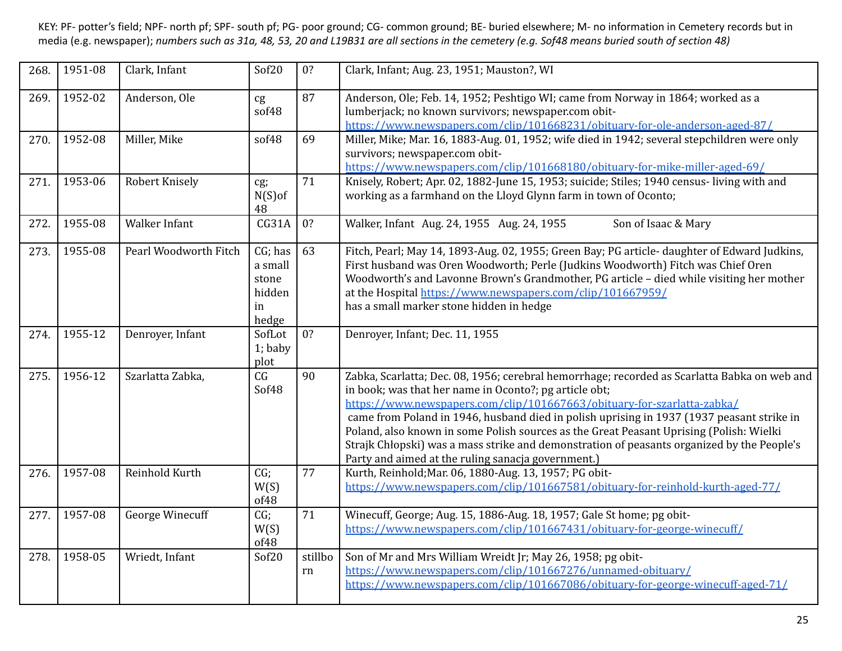| 268. | 1951-08 | Clark, Infant          | Sof20                                                | 0?               | Clark, Infant; Aug. 23, 1951; Mauston?, WI                                                                                                                                                                                                                                                                                                                                                                                                                                                                                                                                    |
|------|---------|------------------------|------------------------------------------------------|------------------|-------------------------------------------------------------------------------------------------------------------------------------------------------------------------------------------------------------------------------------------------------------------------------------------------------------------------------------------------------------------------------------------------------------------------------------------------------------------------------------------------------------------------------------------------------------------------------|
| 269. | 1952-02 | Anderson, Ole          | cg<br>sof48                                          | 87               | Anderson, Ole; Feb. 14, 1952; Peshtigo WI; came from Norway in 1864; worked as a<br>lumberjack; no known survivors; newspaper.com obit-<br>https://www.newspapers.com/clip/101668231/obituary-for-ole-anderson-aged-87/                                                                                                                                                                                                                                                                                                                                                       |
| 270. | 1952-08 | Miller, Mike           | sof48                                                | 69               | Miller, Mike; Mar. 16, 1883-Aug. 01, 1952; wife died in 1942; several stepchildren were only<br>survivors; newspaper.com obit-<br>https://www.newspapers.com/clip/101668180/obituary-for-mike-miller-aged-69/                                                                                                                                                                                                                                                                                                                                                                 |
| 271. | 1953-06 | Robert Knisely         | cg;<br>$N(S)$ of<br>48                               | 71               | Knisely, Robert; Apr. 02, 1882-June 15, 1953; suicide; Stiles; 1940 census-living with and<br>working as a farmhand on the Lloyd Glynn farm in town of Oconto;                                                                                                                                                                                                                                                                                                                                                                                                                |
| 272. | 1955-08 | Walker Infant          | CG31A                                                | 0?               | Walker, Infant Aug. 24, 1955 Aug. 24, 1955<br>Son of Isaac & Mary                                                                                                                                                                                                                                                                                                                                                                                                                                                                                                             |
| 273. | 1955-08 | Pearl Woodworth Fitch  | CG; has<br>a small<br>stone<br>hidden<br>in<br>hedge | 63               | Fitch, Pearl; May 14, 1893-Aug. 02, 1955; Green Bay; PG article- daughter of Edward Judkins,<br>First husband was Oren Woodworth; Perle (Judkins Woodworth) Fitch was Chief Oren<br>Woodworth's and Lavonne Brown's Grandmother, PG article - died while visiting her mother<br>at the Hospital https://www.newspapers.com/clip/101667959/<br>has a small marker stone hidden in hedge                                                                                                                                                                                        |
| 274. | 1955-12 | Denroyer, Infant       | SofLot<br>$1;$ baby<br>plot                          | $\overline{0}$ ? | Denroyer, Infant; Dec. 11, 1955                                                                                                                                                                                                                                                                                                                                                                                                                                                                                                                                               |
| 275. | 1956-12 | Szarlatta Zabka,       | CG<br>Sof48                                          | 90               | Zabka, Scarlatta; Dec. 08, 1956; cerebral hemorrhage; recorded as Scarlatta Babka on web and<br>in book; was that her name in Oconto?; pg article obt;<br>https://www.newspapers.com/clip/101667663/obituary-for-szarlatta-zabka/<br>came from Poland in 1946, husband died in polish uprising in 1937 (1937 peasant strike in<br>Poland, also known in some Polish sources as the Great Peasant Uprising (Polish: Wielki<br>Strajk Chłopski) was a mass strike and demonstration of peasants organized by the People's<br>Party and aimed at the ruling sanacja government.) |
| 276. | 1957-08 | Reinhold Kurth         | CG;<br>W(S)<br>of48                                  | 77               | Kurth, Reinhold; Mar. 06, 1880-Aug. 13, 1957; PG obit-<br>https://www.newspapers.com/clip/101667581/obituary-for-reinhold-kurth-aged-77/                                                                                                                                                                                                                                                                                                                                                                                                                                      |
| 277. | 1957-08 | <b>George Winecuff</b> | CG;<br>W(S)<br>of48                                  | 71               | Winecuff, George; Aug. 15, 1886-Aug. 18, 1957; Gale St home; pg obit-<br>https://www.newspapers.com/clip/101667431/obituary-for-george-winecuff/                                                                                                                                                                                                                                                                                                                                                                                                                              |
| 278. | 1958-05 | Wriedt, Infant         | Sof20                                                | stillbo<br>rn    | Son of Mr and Mrs William Wreidt Jr; May 26, 1958; pg obit-<br>https://www.newspapers.com/clip/101667276/unnamed-obituary/<br>https://www.newspapers.com/clip/101667086/obituary-for-george-winecuff-aged-71/                                                                                                                                                                                                                                                                                                                                                                 |